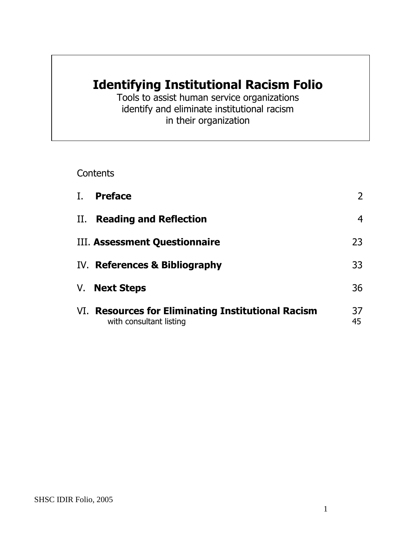# **Identifying Institutional Racism Folio**

Tools to assist human service organizations identify and eliminate institutional racism in their organization

**Contents** 

| Ι.  | <b>Preface</b>                                                                | $\overline{2}$ |
|-----|-------------------------------------------------------------------------------|----------------|
| II. | <b>Reading and Reflection</b>                                                 | 4              |
|     | III. Assessment Questionnaire                                                 | 23             |
|     | IV. References & Bibliography                                                 | 33             |
|     | V. Next Steps                                                                 | 36             |
|     | VI. Resources for Eliminating Institutional Racism<br>with consultant listing | 37<br>45       |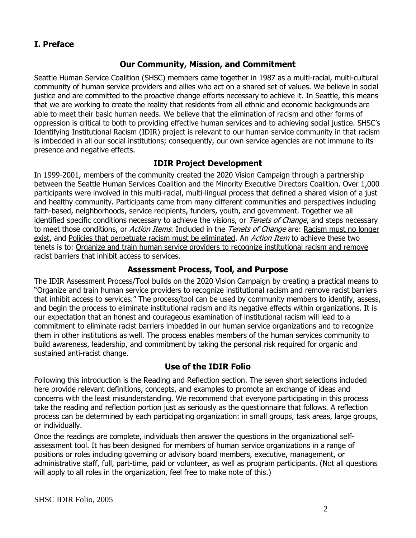## **I. Preface**

## **Our Community, Mission, and Commitment**

Seattle Human Service Coalition (SHSC) members came together in 1987 as a multi-racial, multi-cultural community of human service providers and allies who act on a shared set of values. We believe in social justice and are committed to the proactive change efforts necessary to achieve it. In Seattle, this means that we are working to create the reality that residents from all ethnic and economic backgrounds are able to meet their basic human needs. We believe that the elimination of racism and other forms of oppression is critical to both to providing effective human services and to achieving social justice. SHSC's Identifying Institutional Racism (IDIR) project is relevant to our human service community in that racism is imbedded in all our social institutions; consequently, our own service agencies are not immune to its presence and negative effects.

## **IDIR Project Development**

In 1999-2001, members of the community created the 2020 Vision Campaign through a partnership between the Seattle Human Services Coalition and the Minority Executive Directors Coalition. Over 1,000 participants were involved in this multi-racial, multi-lingual process that defined a shared vision of a just and healthy community. Participants came from many different communities and perspectives including faith-based, neighborhoods, service recipients, funders, youth, and government. Together we all identified specific conditions necessary to achieve the visions, or *Tenets of Change*, and steps necessary to meet those conditions, or *Action Items*. Included in the *Tenets of Change* are: Racism must no longer exist, and Policies that perpetuate racism must be eliminated. An *Action Item* to achieve these two tenets is to: Organize and train human service providers to recognize institutional racism and remove racist barriers that inhibit access to services.

#### **Assessment Process, Tool, and Purpose**

The IDIR Assessment Process/Tool builds on the 2020 Vision Campaign by creating a practical means to "Organize and train human service providers to recognize institutional racism and remove racist barriers that inhibit access to services." The process/tool can be used by community members to identify, assess, and begin the process to eliminate institutional racism and its negative effects within organizations. It is our expectation that an honest and courageous examination of institutional racism will lead to a commitment to eliminate racist barriers imbedded in our human service organizations and to recognize them in other institutions as well. The process enables members of the human services community to build awareness, leadership, and commitment by taking the personal risk required for organic and sustained anti-racist change.

### **Use of the IDIR Folio**

Following this introduction is the Reading and Reflection section. The seven short selections included here provide relevant definitions, concepts, and examples to promote an exchange of ideas and concerns with the least misunderstanding. We recommend that everyone participating in this process take the reading and reflection portion just as seriously as the questionnaire that follows. A reflection process can be determined by each participating organization: in small groups, task areas, large groups, or individually.

Once the readings are complete, individuals then answer the questions in the organizational selfassessment tool. It has been designed for members of human service organizations in a range of positions or roles including governing or advisory board members, executive, management, or administrative staff, full, part-time, paid or volunteer, as well as program participants. (Not all questions will apply to all roles in the organization, feel free to make note of this.)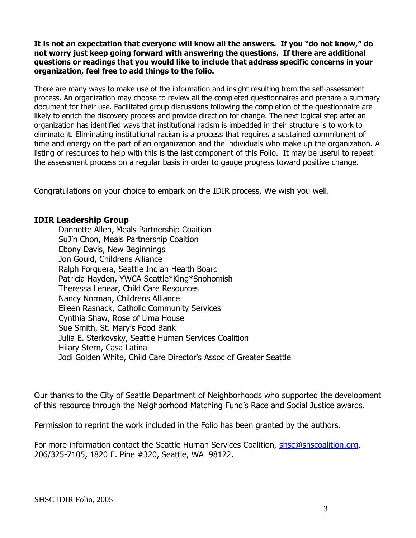**It is not an expectation that everyone will know all the answers. If you "do not know," do not worry just keep going forward with answering the questions. If there are additional questions or readings that you would like to include that address specific concerns in your organization, feel free to add things to the folio.**

There are many ways to make use of the information and insight resulting from the self-assessment process. An organization may choose to review all the completed questionnaires and prepare a summary document for their use. Facilitated group discussions following the completion of the questionnaire are likely to enrich the discovery process and provide direction for change. The next logical step after an organization has identified ways that institutional racism is imbedded in their structure is to work to eliminate it. Eliminating institutional racism is a process that requires a sustained commitment of time and energy on the part of an organization and the individuals who make up the organization. A listing of resources to help with this is the last component of this Folio. It may be useful to repeat the assessment process on a regular basis in order to gauge progress toward positive change.

Congratulations on your choice to embark on the IDIR process. We wish you well.

#### **IDIR Leadership Group**

Dannette Allen, Meals Partnership Coaition SuJ'n Chon, Meals Partnership Coaition Ebony Davis, New Beginnings Jon Gould, Childrens Alliance Ralph Forquera, Seattle Indian Health Board Patricia Hayden, YWCA Seattle\*King\*Snohomish Theressa Lenear, Child Care Resources Nancy Norman, Childrens Alliance Eileen Rasnack, Catholic Community Services Cynthia Shaw, Rose of Lima House Sue Smith, St. Mary's Food Bank Julia E. Sterkovsky, Seattle Human Services Coalition Hilary Stern, Casa Latina Jodi Golden White, Child Care Director's Assoc of Greater Seattle

Our thanks to the City of Seattle Department of Neighborhoods who supported the development of this resource through the Neighborhood Matching Fund's Race and Social Justice awards.

Permission to reprint the work included in the Folio has been granted by the authors.

For more information contact the Seattle Human Services Coalition, [shsc@shscoalition.org,](mailto:shsc@shscoalition.org) 206/325-7105, 1820 E. Pine #320, Seattle, WA 98122.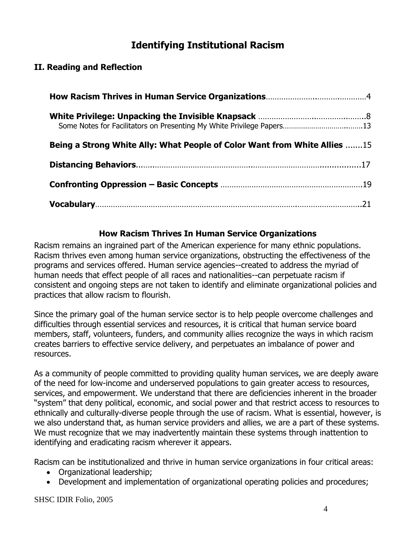## **Identifying Institutional Racism**

## **II. Reading and Reflection**

| Some Notes for Facilitators on Presenting My White Privilege Papers13     |  |
|---------------------------------------------------------------------------|--|
| Being a Strong White Ally: What People of Color Want from White Allies 15 |  |
|                                                                           |  |
|                                                                           |  |
|                                                                           |  |

## **How Racism Thrives In Human Service Organizations**

Racism remains an ingrained part of the American experience for many ethnic populations. Racism thrives even among human service organizations, obstructing the effectiveness of the programs and services offered. Human service agencies--created to address the myriad of human needs that effect people of all races and nationalities--can perpetuate racism if consistent and ongoing steps are not taken to identify and eliminate organizational policies and practices that allow racism to flourish.

Since the primary goal of the human service sector is to help people overcome challenges and difficulties through essential services and resources, it is critical that human service board members, staff, volunteers, funders, and community allies recognize the ways in which racism creates barriers to effective service delivery, and perpetuates an imbalance of power and resources.

As a community of people committed to providing quality human services, we are deeply aware of the need for low-income and underserved populations to gain greater access to resources, services, and empowerment. We understand that there are deficiencies inherent in the broader "system" that deny political, economic, and social power and that restrict access to resources to ethnically and culturally-diverse people through the use of racism. What is essential, however, is we also understand that, as human service providers and allies, we are a part of these systems. We must recognize that we may inadvertently maintain these systems through inattention to identifying and eradicating racism wherever it appears.

Racism can be institutionalized and thrive in human service organizations in four critical areas:

- Organizational leadership;
- Development and implementation of organizational operating policies and procedures;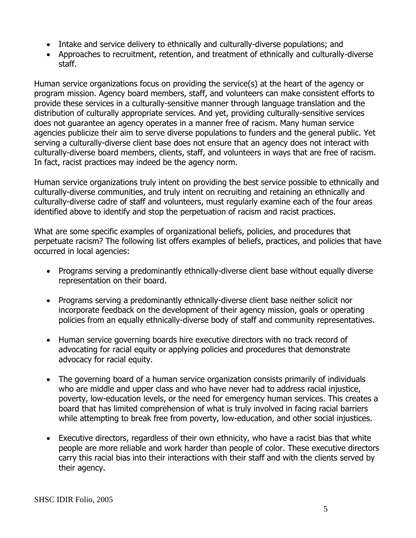- Intake and service delivery to ethnically and culturally-diverse populations; and
- Approaches to recruitment, retention, and treatment of ethnically and culturally-diverse staff.

Human service organizations focus on providing the service(s) at the heart of the agency or program mission. Agency board members, staff, and volunteers can make consistent efforts to provide these services in a culturally-sensitive manner through language translation and the distribution of culturally appropriate services. And yet, providing culturally-sensitive services does not guarantee an agency operates in a manner free of racism. Many human service agencies publicize their aim to serve diverse populations to funders and the general public. Yet serving a culturally-diverse client base does not ensure that an agency does not interact with culturally-diverse board members, clients, staff, and volunteers in ways that are free of racism. In fact, racist practices may indeed be the agency norm.

Human service organizations truly intent on providing the best service possible to ethnically and culturally-diverse communities, and truly intent on recruiting and retaining an ethnically and culturally-diverse cadre of staff and volunteers, must regularly examine each of the four areas identified above to identify and stop the perpetuation of racism and racist practices.

What are some specific examples of organizational beliefs, policies, and procedures that perpetuate racism? The following list offers examples of beliefs, practices, and policies that have occurred in local agencies:

- Programs serving a predominantly ethnically-diverse client base without equally diverse representation on their board.
- Programs serving a predominantly ethnically-diverse client base neither solicit nor incorporate feedback on the development of their agency mission, goals or operating policies from an equally ethnically-diverse body of staff and community representatives.
- Human service governing boards hire executive directors with no track record of advocating for racial equity or applying policies and procedures that demonstrate advocacy for racial equity.
- The governing board of a human service organization consists primarily of individuals who are middle and upper class and who have never had to address racial injustice, poverty, low-education levels, or the need for emergency human services. This creates a board that has limited comprehension of what is truly involved in facing racial barriers while attempting to break free from poverty, low-education, and other social injustices.
- Executive directors, regardless of their own ethnicity, who have a racist bias that white people are more reliable and work harder than people of color. These executive directors carry this racial bias into their interactions with their staff and with the clients served by their agency.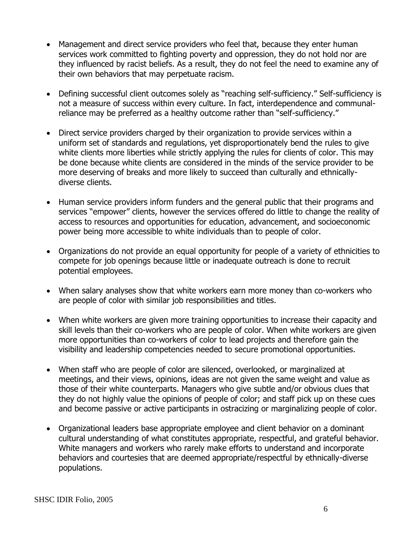- Management and direct service providers who feel that, because they enter human services work committed to fighting poverty and oppression, they do not hold nor are they influenced by racist beliefs. As a result, they do not feel the need to examine any of their own behaviors that may perpetuate racism.
- Defining successful client outcomes solely as "reaching self-sufficiency." Self-sufficiency is not a measure of success within every culture. In fact, interdependence and communalreliance may be preferred as a healthy outcome rather than "self-sufficiency."
- Direct service providers charged by their organization to provide services within a uniform set of standards and regulations, yet disproportionately bend the rules to give white clients more liberties while strictly applying the rules for clients of color. This may be done because white clients are considered in the minds of the service provider to be more deserving of breaks and more likely to succeed than culturally and ethnicallydiverse clients.
- Human service providers inform funders and the general public that their programs and services "empower" clients, however the services offered do little to change the reality of access to resources and opportunities for education, advancement, and socioeconomic power being more accessible to white individuals than to people of color.
- Organizations do not provide an equal opportunity for people of a variety of ethnicities to compete for job openings because little or inadequate outreach is done to recruit potential employees.
- When salary analyses show that white workers earn more money than co-workers who are people of color with similar job responsibilities and titles.
- When white workers are given more training opportunities to increase their capacity and skill levels than their co-workers who are people of color. When white workers are given more opportunities than co-workers of color to lead projects and therefore gain the visibility and leadership competencies needed to secure promotional opportunities.
- When staff who are people of color are silenced, overlooked, or marginalized at meetings, and their views, opinions, ideas are not given the same weight and value as those of their white counterparts. Managers who give subtle and/or obvious clues that they do not highly value the opinions of people of color; and staff pick up on these cues and become passive or active participants in ostracizing or marginalizing people of color.
- Organizational leaders base appropriate employee and client behavior on a dominant cultural understanding of what constitutes appropriate, respectful, and grateful behavior. White managers and workers who rarely make efforts to understand and incorporate behaviors and courtesies that are deemed appropriate/respectful by ethnically-diverse populations.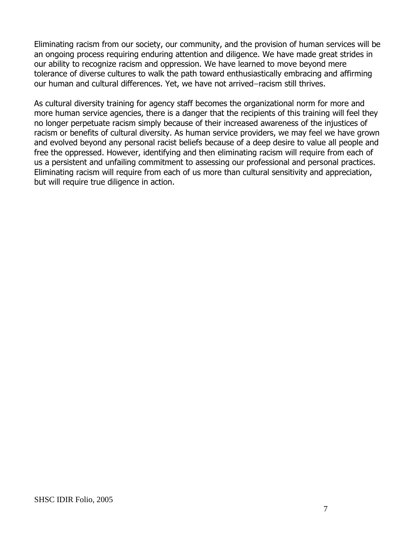Eliminating racism from our society, our community, and the provision of human services will be an ongoing process requiring enduring attention and diligence. We have made great strides in our ability to recognize racism and oppression. We have learned to move beyond mere tolerance of diverse cultures to walk the path toward enthusiastically embracing and affirming our human and cultural differences. Yet, we have not arrived—racism still thrives.

As cultural diversity training for agency staff becomes the organizational norm for more and more human service agencies, there is a danger that the recipients of this training will feel they no longer perpetuate racism simply because of their increased awareness of the injustices of racism or benefits of cultural diversity. As human service providers, we may feel we have grown and evolved beyond any personal racist beliefs because of a deep desire to value all people and free the oppressed. However, identifying and then eliminating racism will require from each of us a persistent and unfailing commitment to assessing our professional and personal practices. Eliminating racism will require from each of us more than cultural sensitivity and appreciation, but will require true diligence in action.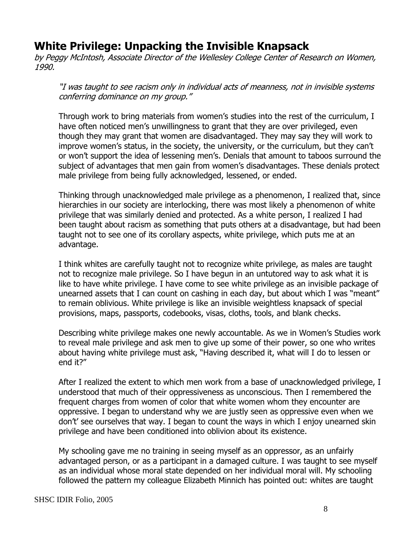## **White Privilege: Unpacking the Invisible Knapsack**

by Peggy McIntosh, Associate Director of the Wellesley College Center of Research on Women, 1990.

"I was taught to see racism only in individual acts of meanness, not in invisible systems conferring dominance on my group."

Through work to bring materials from women's studies into the rest of the curriculum, I have often noticed men's unwillingness to grant that they are over privileged, even though they may grant that women are disadvantaged. They may say they will work to improve women's status, in the society, the university, or the curriculum, but they can't or won't support the idea of lessening men's. Denials that amount to taboos surround the subject of advantages that men gain from women's disadvantages. These denials protect male privilege from being fully acknowledged, lessened, or ended.

Thinking through unacknowledged male privilege as a phenomenon, I realized that, since hierarchies in our society are interlocking, there was most likely a phenomenon of white privilege that was similarly denied and protected. As a white person, I realized I had been taught about racism as something that puts others at a disadvantage, but had been taught not to see one of its corollary aspects, white privilege, which puts me at an advantage.

I think whites are carefully taught not to recognize white privilege, as males are taught not to recognize male privilege. So I have begun in an untutored way to ask what it is like to have white privilege. I have come to see white privilege as an invisible package of unearned assets that I can count on cashing in each day, but about which I was "meant" to remain oblivious. White privilege is like an invisible weightless knapsack of special provisions, maps, passports, codebooks, visas, cloths, tools, and blank checks.

Describing white privilege makes one newly accountable. As we in Women's Studies work to reveal male privilege and ask men to give up some of their power, so one who writes about having white privilege must ask, "Having described it, what will I do to lessen or end it?"

After I realized the extent to which men work from a base of unacknowledged privilege, I understood that much of their oppressiveness as unconscious. Then I remembered the frequent charges from women of color that white women whom they encounter are oppressive. I began to understand why we are justly seen as oppressive even when we don't' see ourselves that way. I began to count the ways in which I enjoy unearned skin privilege and have been conditioned into oblivion about its existence.

My schooling gave me no training in seeing myself as an oppressor, as an unfairly advantaged person, or as a participant in a damaged culture. I was taught to see myself as an individual whose moral state depended on her individual moral will. My schooling followed the pattern my colleague Elizabeth Minnich has pointed out: whites are taught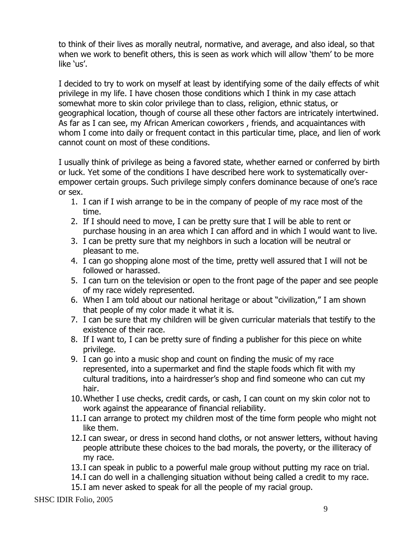to think of their lives as morally neutral, normative, and average, and also ideal, so that when we work to benefit others, this is seen as work which will allow 'them' to be more like 'us'.

I decided to try to work on myself at least by identifying some of the daily effects of whit privilege in my life. I have chosen those conditions which I think in my case attach somewhat more to skin color privilege than to class, religion, ethnic status, or geographical location, though of course all these other factors are intricately intertwined. As far as I can see, my African American coworkers , friends, and acquaintances with whom I come into daily or frequent contact in this particular time, place, and lien of work cannot count on most of these conditions.

I usually think of privilege as being a favored state, whether earned or conferred by birth or luck. Yet some of the conditions I have described here work to systematically overempower certain groups. Such privilege simply confers dominance because of one's race or sex.

- 1. I can if I wish arrange to be in the company of people of my race most of the time.
- 2. If I should need to move, I can be pretty sure that I will be able to rent or purchase housing in an area which I can afford and in which I would want to live.
- 3. I can be pretty sure that my neighbors in such a location will be neutral or pleasant to me.
- 4. I can go shopping alone most of the time, pretty well assured that I will not be followed or harassed.
- 5. I can turn on the television or open to the front page of the paper and see people of my race widely represented.
- 6. When I am told about our national heritage or about "civilization," I am shown that people of my color made it what it is.
- 7. I can be sure that my children will be given curricular materials that testify to the existence of their race.
- 8. If I want to, I can be pretty sure of finding a publisher for this piece on white privilege.
- 9. I can go into a music shop and count on finding the music of my race represented, into a supermarket and find the staple foods which fit with my cultural traditions, into a hairdresser's shop and find someone who can cut my hair.
- 10.Whether I use checks, credit cards, or cash, I can count on my skin color not to work against the appearance of financial reliability.
- 11.I can arrange to protect my children most of the time form people who might not like them.
- 12.I can swear, or dress in second hand cloths, or not answer letters, without having people attribute these choices to the bad morals, the poverty, or the illiteracy of my race.
- 13.I can speak in public to a powerful male group without putting my race on trial.
- 14.I can do well in a challenging situation without being called a credit to my race.
- 15.I am never asked to speak for all the people of my racial group.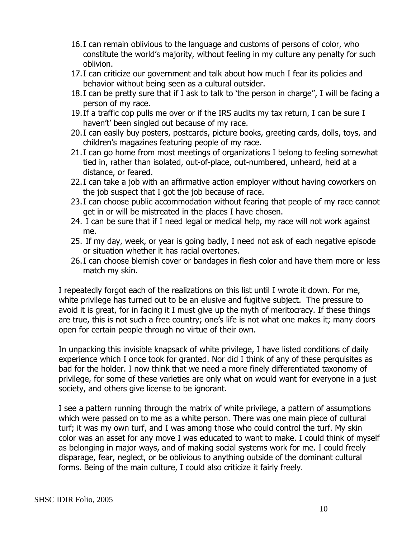- 16.I can remain oblivious to the language and customs of persons of color, who constitute the world's majority, without feeling in my culture any penalty for such oblivion.
- 17.I can criticize our government and talk about how much I fear its policies and behavior without being seen as a cultural outsider.
- 18.I can be pretty sure that if I ask to talk to 'the person in charge", I will be facing a person of my race.
- 19.If a traffic cop pulls me over or if the IRS audits my tax return, I can be sure I haven't' been singled out because of my race.
- 20.I can easily buy posters, postcards, picture books, greeting cards, dolls, toys, and children's magazines featuring people of my race.
- 21.I can go home from most meetings of organizations I belong to feeling somewhat tied in, rather than isolated, out-of-place, out-numbered, unheard, held at a distance, or feared.
- 22.I can take a job with an affirmative action employer without having coworkers on the job suspect that I got the job because of race.
- 23.I can choose public accommodation without fearing that people of my race cannot get in or will be mistreated in the places I have chosen.
- 24. I can be sure that if I need legal or medical help, my race will not work against me.
- 25. If my day, week, or year is going badly, I need not ask of each negative episode or situation whether it has racial overtones.
- 26.I can choose blemish cover or bandages in flesh color and have them more or less match my skin.

I repeatedly forgot each of the realizations on this list until I wrote it down. For me, white privilege has turned out to be an elusive and fugitive subject. The pressure to avoid it is great, for in facing it I must give up the myth of meritocracy. If these things are true, this is not such a free country; one's life is not what one makes it; many doors open for certain people through no virtue of their own.

In unpacking this invisible knapsack of white privilege, I have listed conditions of daily experience which I once took for granted. Nor did I think of any of these perquisites as bad for the holder. I now think that we need a more finely differentiated taxonomy of privilege, for some of these varieties are only what on would want for everyone in a just society, and others give license to be ignorant.

I see a pattern running through the matrix of white privilege, a pattern of assumptions which were passed on to me as a white person. There was one main piece of cultural turf; it was my own turf, and I was among those who could control the turf. My skin color was an asset for any move I was educated to want to make. I could think of myself as belonging in major ways, and of making social systems work for me. I could freely disparage, fear, neglect, or be oblivious to anything outside of the dominant cultural forms. Being of the main culture, I could also criticize it fairly freely.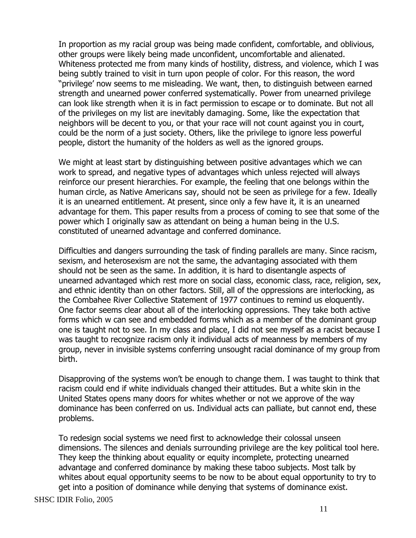In proportion as my racial group was being made confident, comfortable, and oblivious, other groups were likely being made unconfident, uncomfortable and alienated. Whiteness protected me from many kinds of hostility, distress, and violence, which I was being subtly trained to visit in turn upon people of color. For this reason, the word "privilege' now seems to me misleading. We want, then, to distinguish between earned strength and unearned power conferred systematically. Power from unearned privilege can look like strength when it is in fact permission to escape or to dominate. But not all of the privileges on my list are inevitably damaging. Some, like the expectation that neighbors will be decent to you, or that your race will not count against you in court, could be the norm of a just society. Others, like the privilege to ignore less powerful people, distort the humanity of the holders as well as the ignored groups.

We might at least start by distinguishing between positive advantages which we can work to spread, and negative types of advantages which unless rejected will always reinforce our present hierarchies. For example, the feeling that one belongs within the human circle, as Native Americans say, should not be seen as privilege for a few. Ideally it is an unearned entitlement. At present, since only a few have it, it is an unearned advantage for them. This paper results from a process of coming to see that some of the power which I originally saw as attendant on being a human being in the U.S. constituted of unearned advantage and conferred dominance.

Difficulties and dangers surrounding the task of finding parallels are many. Since racism, sexism, and heterosexism are not the same, the advantaging associated with them should not be seen as the same. In addition, it is hard to disentangle aspects of unearned advantaged which rest more on social class, economic class, race, religion, sex, and ethnic identity than on other factors. Still, all of the oppressions are interlocking, as the Combahee River Collective Statement of 1977 continues to remind us eloquently. One factor seems clear about all of the interlocking oppressions. They take both active forms which w can see and embedded forms which as a member of the dominant group one is taught not to see. In my class and place, I did not see myself as a racist because I was taught to recognize racism only it individual acts of meanness by members of my group, never in invisible systems conferring unsought racial dominance of my group from birth.

Disapproving of the systems won't be enough to change them. I was taught to think that racism could end if white individuals changed their attitudes. But a white skin in the United States opens many doors for whites whether or not we approve of the way dominance has been conferred on us. Individual acts can palliate, but cannot end, these problems.

To redesign social systems we need first to acknowledge their colossal unseen dimensions. The silences and denials surrounding privilege are the key political tool here. They keep the thinking about equality or equity incomplete, protecting unearned advantage and conferred dominance by making these taboo subjects. Most talk by whites about equal opportunity seems to be now to be about equal opportunity to try to get into a position of dominance while denying that systems of dominance exist.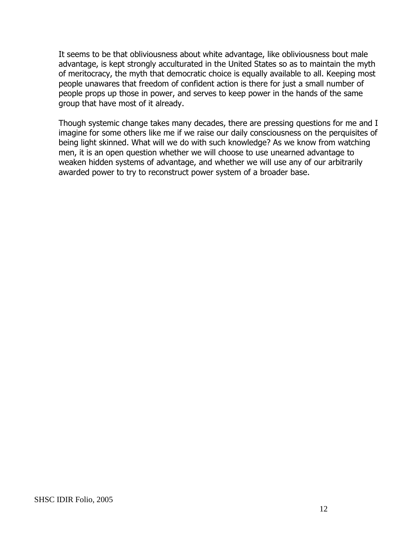It seems to be that obliviousness about white advantage, like obliviousness bout male advantage, is kept strongly acculturated in the United States so as to maintain the myth of meritocracy, the myth that democratic choice is equally available to all. Keeping most people unawares that freedom of confident action is there for just a small number of people props up those in power, and serves to keep power in the hands of the same group that have most of it already.

Though systemic change takes many decades, there are pressing questions for me and I imagine for some others like me if we raise our daily consciousness on the perquisites of being light skinned. What will we do with such knowledge? As we know from watching men, it is an open question whether we will choose to use unearned advantage to weaken hidden systems of advantage, and whether we will use any of our arbitrarily awarded power to try to reconstruct power system of a broader base.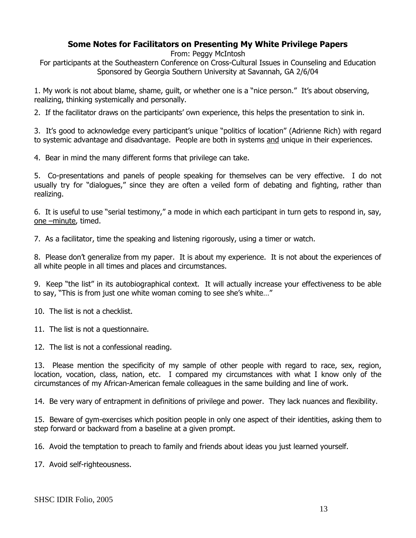### **Some Notes for Facilitators on Presenting My White Privilege Papers**

From: Peggy McIntosh

For participants at the Southeastern Conference on Cross-Cultural Issues in Counseling and Education Sponsored by Georgia Southern University at Savannah, GA 2/6/04

1. My work is not about blame, shame, guilt, or whether one is a "nice person." It's about observing, realizing, thinking systemically and personally.

2. If the facilitator draws on the participants' own experience, this helps the presentation to sink in.

3. It's good to acknowledge every participant's unique "politics of location" (Adrienne Rich) with regard to systemic advantage and disadvantage. People are both in systems and unique in their experiences.

4. Bear in mind the many different forms that privilege can take.

5. Co-presentations and panels of people speaking for themselves can be very effective. I do not usually try for "dialogues," since they are often a veiled form of debating and fighting, rather than realizing.

6. It is useful to use "serial testimony," a mode in which each participant in turn gets to respond in, say, one –minute, timed.

7. As a facilitator, time the speaking and listening rigorously, using a timer or watch.

8. Please don't generalize from my paper. It is about my experience. It is not about the experiences of all white people in all times and places and circumstances.

9. Keep "the list" in its autobiographical context. It will actually increase your effectiveness to be able to say, "This is from just one white woman coming to see she's white…"

10. The list is not a checklist.

11. The list is not a questionnaire.

12. The list is not a confessional reading.

13. Please mention the specificity of my sample of other people with regard to race, sex, region, location, vocation, class, nation, etc. I compared my circumstances with what I know only of the circumstances of my African-American female colleagues in the same building and line of work.

14. Be very wary of entrapment in definitions of privilege and power. They lack nuances and flexibility.

15. Beware of gym-exercises which position people in only one aspect of their identities, asking them to step forward or backward from a baseline at a given prompt.

16. Avoid the temptation to preach to family and friends about ideas you just learned yourself.

17. Avoid self-righteousness.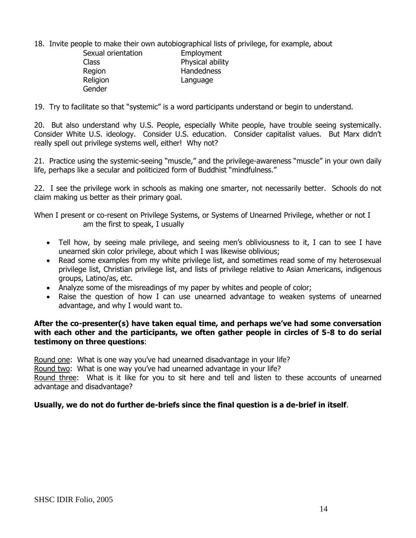18. Invite people to make their own autobiographical lists of privilege, for example, about

Sexual orientation Employment Religion **Language** Gender

Class Physical ability Region **Handedness** 

19. Try to facilitate so that "systemic" is a word participants understand or begin to understand.

20. But also understand why U.S. People, especially White people, have trouble seeing systemically. Consider White U.S. ideology. Consider U.S. education. Consider capitalist values. But Marx didn't really spell out privilege systems well, either! Why not?

21. Practice using the systemic-seeing "muscle," and the privilege-awareness "muscle" in your own daily life, perhaps like a secular and politicized form of Buddhist "mindfulness."

22. I see the privilege work in schools as making one smarter, not necessarily better. Schools do not claim making us better as their primary goal.

When I present or co-resent on Privilege Systems, or Systems of Unearned Privilege, whether or not I am the first to speak, I usually

- Tell how, by seeing male privilege, and seeing men's obliviousness to it, I can to see I have unearned skin color privilege, about which I was likewise oblivious;
- Read some examples from my white privilege list, and sometimes read some of my heterosexual privilege list, Christian privilege list, and lists of privilege relative to Asian Americans, indigenous groups, Latino/as, etc.
- Analyze some of the misreadings of my paper by whites and people of color;
- Raise the question of how I can use unearned advantage to weaken systems of unearned advantage, and why I would want to.

#### **After the co-presenter(s) have taken equal time, and perhaps we've had some conversation with each other and the participants, we often gather people in circles of 5-8 to do serial testimony on three questions**:

Round one: What is one way you've had unearned disadvantage in your life?

Round two: What is one way you've had unearned advantage in your life?

Round three: What is it like for you to sit here and tell and listen to these accounts of unearned advantage and disadvantage?

#### **Usually, we do not do further de-briefs since the final question is a de-brief in itself**.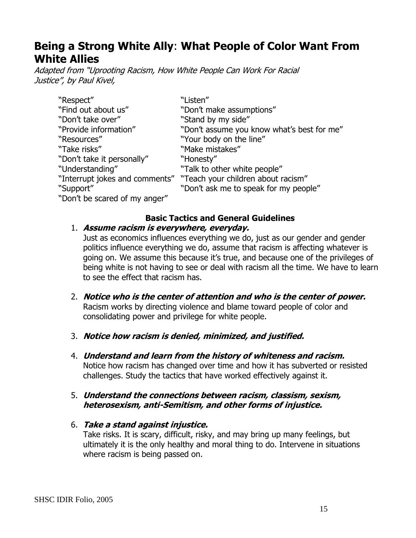# **Being a Strong White Ally**: **What People of Color Want From White Allies**

Adapted from "Uprooting Racism, How White People Can Work For Racial Justice", by Paul Kivel,

| "Respect"                     | "Listen"                                                          |
|-------------------------------|-------------------------------------------------------------------|
| "Find out about us"           | "Don't make assumptions"                                          |
| "Don't take over"             | "Stand by my side"                                                |
| "Provide information"         | "Don't assume you know what's best for me"                        |
| "Resources"                   | "Your body on the line"                                           |
| "Take risks"                  | "Make mistakes"                                                   |
| "Don't take it personally"    | "Honesty"                                                         |
| "Understanding"               | "Talk to other white people"                                      |
|                               | "Interrupt jokes and comments" "Teach your children about racism" |
| "Support"                     | "Don't ask me to speak for my people"                             |
| "Don't be scared of my anger" |                                                                   |

### **Basic Tactics and General Guidelines**

#### 1. **Assume racism is everywhere, everyday.**

Just as economics influences everything we do, just as our gender and gender politics influence everything we do, assume that racism is affecting whatever is going on. We assume this because it's true, and because one of the privileges of being white is not having to see or deal with racism all the time. We have to learn to see the effect that racism has.

- 2. **Notice who is the center of attention and who is the center of power.**  Racism works by directing violence and blame toward people of color and consolidating power and privilege for white people.
- 3. **Notice how racism is denied, minimized, and justified.**
- 4. **Understand and learn from the history of whiteness and racism.**  Notice how racism has changed over time and how it has subverted or resisted challenges. Study the tactics that have worked effectively against it.

#### 5. **Understand the connections between racism, classism, sexism, heterosexism, anti-Semitism, and other forms of injustice.**

6. **Take a stand against injustice.**

Take risks. It is scary, difficult, risky, and may bring up many feelings, but ultimately it is the only healthy and moral thing to do. Intervene in situations where racism is being passed on.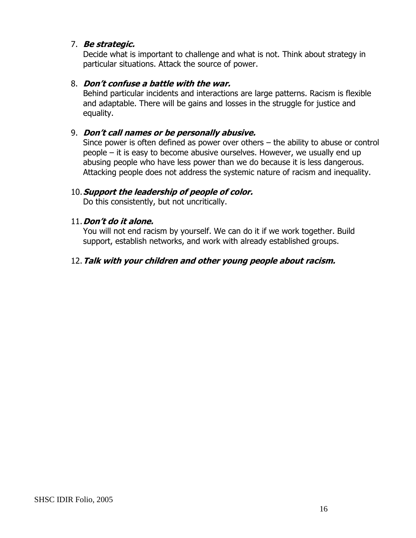## 7. **Be strategic.**

Decide what is important to challenge and what is not. Think about strategy in particular situations. Attack the source of power.

### 8. **Don't confuse a battle with the war.**

Behind particular incidents and interactions are large patterns. Racism is flexible and adaptable. There will be gains and losses in the struggle for justice and equality.

### 9. **Don't call names or be personally abusive.**

Since power is often defined as power over others – the ability to abuse or control people – it is easy to become abusive ourselves. However, we usually end up abusing people who have less power than we do because it is less dangerous. Attacking people does not address the systemic nature of racism and inequality.

#### 10.**Support the leadership of people of color.**

Do this consistently, but not uncritically.

#### 11.**Don't do it alone.**

You will not end racism by yourself. We can do it if we work together. Build support, establish networks, and work with already established groups.

#### 12.**Talk with your children and other young people about racism.**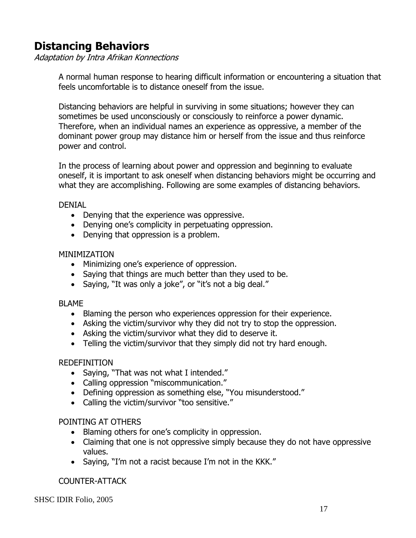# **Distancing Behaviors**

Adaptation by Intra Afrikan Konnections

A normal human response to hearing difficult information or encountering a situation that feels uncomfortable is to distance oneself from the issue.

Distancing behaviors are helpful in surviving in some situations; however they can sometimes be used unconsciously or consciously to reinforce a power dynamic. Therefore, when an individual names an experience as oppressive, a member of the dominant power group may distance him or herself from the issue and thus reinforce power and control.

In the process of learning about power and oppression and beginning to evaluate oneself, it is important to ask oneself when distancing behaviors might be occurring and what they are accomplishing. Following are some examples of distancing behaviors.

### DENIAL

- Denying that the experience was oppressive.
- Denying one's complicity in perpetuating oppression.
- Denying that oppression is a problem.

## MINIMIZATION

- Minimizing one's experience of oppression.
- Saying that things are much better than they used to be.
- Saying, "It was only a joke", or "it's not a big deal."

## BLAME

- Blaming the person who experiences oppression for their experience.
- Asking the victim/survivor why they did not try to stop the oppression.
- Asking the victim/survivor what they did to deserve it.
- Telling the victim/survivor that they simply did not try hard enough.

## REDEFINITION

- Saying, "That was not what I intended."
- Calling oppression "miscommunication."
- Defining oppression as something else, "You misunderstood."
- Calling the victim/survivor "too sensitive."

## POINTING AT OTHERS

- Blaming others for one's complicity in oppression.
- Claiming that one is not oppressive simply because they do not have oppressive values.
- Saying, "I'm not a racist because I'm not in the KKK."

## COUNTER-ATTACK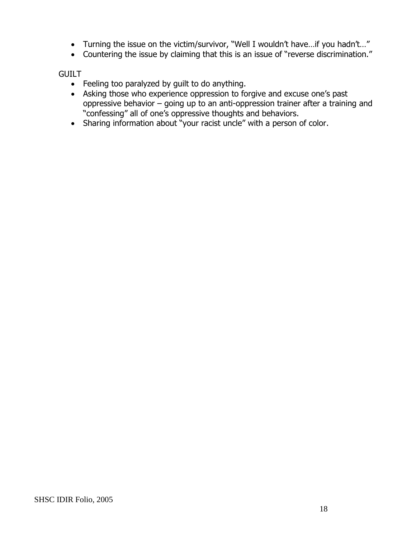- Turning the issue on the victim/survivor, "Well I wouldn't have…if you hadn't…"
- Countering the issue by claiming that this is an issue of "reverse discrimination."

## GUILT

- Feeling too paralyzed by guilt to do anything.
- Asking those who experience oppression to forgive and excuse one's past oppressive behavior – going up to an anti-oppression trainer after a training and "confessing" all of one's oppressive thoughts and behaviors.
- Sharing information about "your racist uncle" with a person of color.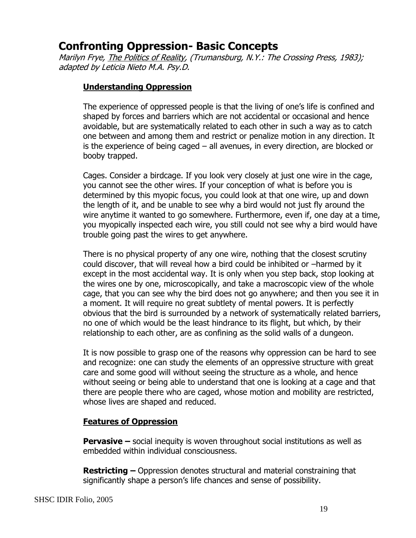## **Confronting Oppression- Basic Concepts**

Marilyn Frye, The Politics of Reality, (Trumansburg, N.Y.: The Crossing Press, 1983); adapted by Leticia Nieto M.A. Psy.D.

## **Understanding Oppression**

The experience of oppressed people is that the living of one's life is confined and shaped by forces and barriers which are not accidental or occasional and hence avoidable, but are systematically related to each other in such a way as to catch one between and among them and restrict or penalize motion in any direction. It is the experience of being caged – all avenues, in every direction, are blocked or booby trapped.

Cages. Consider a birdcage. If you look very closely at just one wire in the cage, you cannot see the other wires. If your conception of what is before you is determined by this myopic focus, you could look at that one wire, up and down the length of it, and be unable to see why a bird would not just fly around the wire anytime it wanted to go somewhere. Furthermore, even if, one day at a time, you myopically inspected each wire, you still could not see why a bird would have trouble going past the wires to get anywhere.

There is no physical property of any one wire, nothing that the closest scrutiny could discover, that will reveal how a bird could be inhibited or –harmed by it except in the most accidental way. It is only when you step back, stop looking at the wires one by one, microscopically, and take a macroscopic view of the whole cage, that you can see why the bird does not go anywhere; and then you see it in a moment. It will require no great subtlety of mental powers. It is perfectly obvious that the bird is surrounded by a network of systematically related barriers, no one of which would be the least hindrance to its flight, but which, by their relationship to each other, are as confining as the solid walls of a dungeon.

It is now possible to grasp one of the reasons why oppression can be hard to see and recognize: one can study the elements of an oppressive structure with great care and some good will without seeing the structure as a whole, and hence without seeing or being able to understand that one is looking at a cage and that there are people there who are caged, whose motion and mobility are restricted, whose lives are shaped and reduced.

## **Features of Oppression**

**Pervasive –** social inequity is woven throughout social institutions as well as embedded within individual consciousness.

**Restricting –** Oppression denotes structural and material constraining that significantly shape a person's life chances and sense of possibility.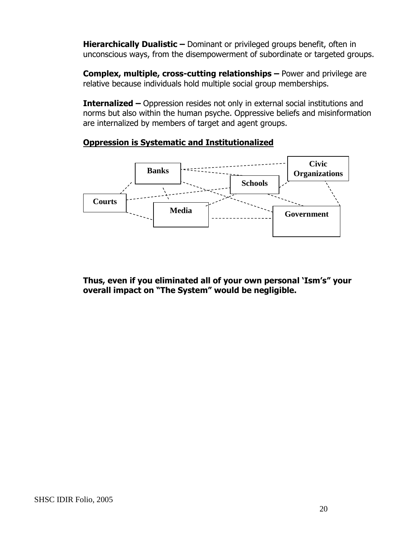**Hierarchically Dualistic –** Dominant or privileged groups benefit, often in unconscious ways, from the disempowerment of subordinate or targeted groups.

**Complex, multiple, cross-cutting relationships –** Power and privilege are relative because individuals hold multiple social group memberships.

**Internalized –** Oppression resides not only in external social institutions and norms but also within the human psyche. Oppressive beliefs and misinformation are internalized by members of target and agent groups.

## **Oppression is Systematic and Institutionalized**



**Thus, even if you eliminated all of your own personal 'Ism's" your overall impact on "The System" would be negligible.**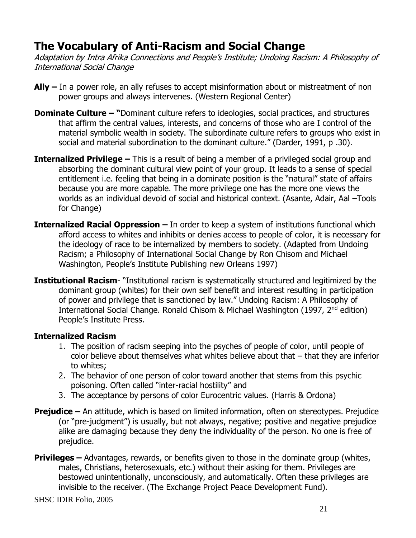# **The Vocabulary of Anti-Racism and Social Change**

Adaptation by Intra Afrika Connections and People's Institute; Undoing Racism: A Philosophy of International Social Change

- **Ally –** In a power role, an ally refuses to accept misinformation about or mistreatment of non power groups and always intervenes. (Western Regional Center)
- **Dominate Culture "**Dominant culture refers to ideologies, social practices, and structures that affirm the central values, interests, and concerns of those who are I control of the material symbolic wealth in society. The subordinate culture refers to groups who exist in social and material subordination to the dominant culture." (Darder, 1991, p .30).
- **Internalized Privilege –** This is a result of being a member of a privileged social group and absorbing the dominant cultural view point of your group. It leads to a sense of special entitlement i.e. feeling that being in a dominate position is the "natural" state of affairs because you are more capable. The more privilege one has the more one views the worlds as an individual devoid of social and historical context. (Asante, Adair, Aal –Tools for Change)
- **Internalized Racial Oppression In order to keep a system of institutions functional which** afford access to whites and inhibits or denies access to people of color, it is necessary for the ideology of race to be internalized by members to society. (Adapted from Undoing Racism; a Philosophy of International Social Change by Ron Chisom and Michael Washington, People's Institute Publishing new Orleans 1997)
- **Institutional Racism** "Institutional racism is systematically structured and legitimized by the dominant group (whites) for their own self benefit and interest resulting in participation of power and privilege that is sanctioned by law." Undoing Racism: A Philosophy of International Social Change. Ronald Chisom & Michael Washington (1997, 2<sup>nd</sup> edition) People's Institute Press.

### **Internalized Racism**

- 1. The position of racism seeping into the psyches of people of color, until people of color believe about themselves what whites believe about that – that they are inferior to whites;
- 2. The behavior of one person of color toward another that stems from this psychic poisoning. Often called "inter-racial hostility" and
- 3. The acceptance by persons of color Eurocentric values. (Harris & Ordona)
- **Prejudice –** An attitude, which is based on limited information, often on stereotypes. Prejudice (or "pre-judgment") is usually, but not always, negative; positive and negative prejudice alike are damaging because they deny the individuality of the person. No one is free of prejudice.
- **Privileges –** Advantages, rewards, or benefits given to those in the dominate group (whites, males, Christians, heterosexuals, etc.) without their asking for them. Privileges are bestowed unintentionally, unconsciously, and automatically. Often these privileges are invisible to the receiver. (The Exchange Project Peace Development Fund).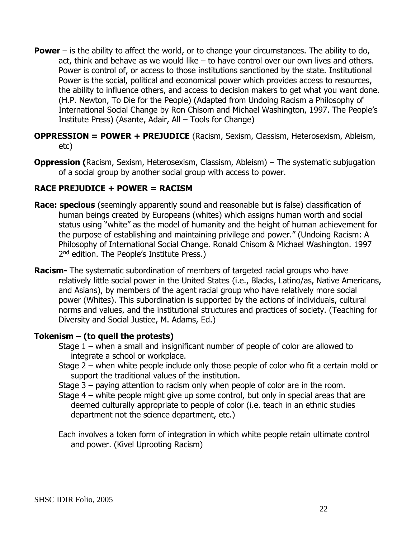- **Power** is the ability to affect the world, or to change your circumstances. The ability to do, act, think and behave as we would like – to have control over our own lives and others. Power is control of, or access to those institutions sanctioned by the state. Institutional Power is the social, political and economical power which provides access to resources, the ability to influence others, and access to decision makers to get what you want done. (H.P. Newton, To Die for the People) (Adapted from Undoing Racism a Philosophy of International Social Change by Ron Chisom and Michael Washington, 1997. The People's Institute Press) (Asante, Adair, All – Tools for Change)
- **OPPRESSION = POWER + PREJUDICE** (Racism, Sexism, Classism, Heterosexism, Ableism, etc)
- **Oppression (**Racism, Sexism, Heterosexism, Classism, Ableism) The systematic subjugation of a social group by another social group with access to power.

### **RACE PREJUDICE + POWER = RACISM**

- **Race: specious** (seemingly apparently sound and reasonable but is false) classification of human beings created by Europeans (whites) which assigns human worth and social status using "white" as the model of humanity and the height of human achievement for the purpose of establishing and maintaining privilege and power." (Undoing Racism: A Philosophy of International Social Change. Ronald Chisom & Michael Washington. 1997 2<sup>nd</sup> edition. The People's Institute Press.)
- **Racism-** The systematic subordination of members of targeted racial groups who have relatively little social power in the United States (i.e., Blacks, Latino/as, Native Americans, and Asians), by members of the agent racial group who have relatively more social power (Whites). This subordination is supported by the actions of individuals, cultural norms and values, and the institutional structures and practices of society. (Teaching for Diversity and Social Justice, M. Adams, Ed.)

#### **Tokenism – (to quell the protests)**

- Stage 1 when a small and insignificant number of people of color are allowed to integrate a school or workplace.
- Stage 2 when white people include only those people of color who fit a certain mold or support the traditional values of the institution.
- Stage 3 paying attention to racism only when people of color are in the room.
- Stage 4 white people might give up some control, but only in special areas that are deemed culturally appropriate to people of color (i.e. teach in an ethnic studies department not the science department, etc.)

Each involves a token form of integration in which white people retain ultimate control and power. (Kivel Uprooting Racism)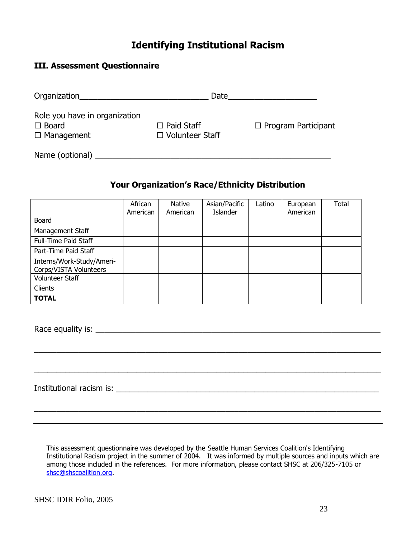## **Identifying Institutional Racism**

### **III. Assessment Questionnaire**

| Organization                                                       | Date                                        |                            |
|--------------------------------------------------------------------|---------------------------------------------|----------------------------|
| Role you have in organization<br>$\Box$ Board<br>$\Box$ Management | $\Box$ Paid Staff<br>$\Box$ Volunteer Staff | $\Box$ Program Participant |
| Name (optional)                                                    |                                             |                            |

## **Your Organization's Race/Ethnicity Distribution**

|                                                     | African<br>American | Native<br>American | Asian/Pacific<br>Islander | Latino | European<br>American | Total |
|-----------------------------------------------------|---------------------|--------------------|---------------------------|--------|----------------------|-------|
| Board                                               |                     |                    |                           |        |                      |       |
| Management Staff                                    |                     |                    |                           |        |                      |       |
| Full-Time Paid Staff                                |                     |                    |                           |        |                      |       |
| Part-Time Paid Staff                                |                     |                    |                           |        |                      |       |
| Interns/Work-Study/Ameri-<br>Corps/VISTA Volunteers |                     |                    |                           |        |                      |       |
| Volunteer Staff                                     |                     |                    |                           |        |                      |       |
| <b>Clients</b>                                      |                     |                    |                           |        |                      |       |
| <b>TOTAL</b>                                        |                     |                    |                           |        |                      |       |

Race equality is: \_\_\_\_\_\_\_\_\_\_\_\_\_\_\_\_\_\_\_\_\_\_\_\_\_\_\_\_\_\_\_\_\_\_\_\_\_\_\_\_\_\_\_\_\_\_\_\_\_\_\_\_\_\_\_\_\_\_\_\_\_\_\_\_

Institutional racism is: \_\_\_\_\_\_\_\_\_\_\_\_\_\_\_\_\_\_\_\_\_\_\_\_\_\_\_\_\_\_\_\_\_\_\_\_\_\_\_\_\_\_\_\_\_\_\_\_\_\_\_\_\_\_\_\_\_\_\_

This assessment questionnaire was developed by the Seattle Human Services Coalition's Identifying Institutional Racism project in the summer of 2004. It was informed by multiple sources and inputs which are among those included in the references. For more information, please contact SHSC at 206/325-7105 or [shsc@shscoalition.org.](mailto:shsc@shscoalition.org)

\_\_\_\_\_\_\_\_\_\_\_\_\_\_\_\_\_\_\_\_\_\_\_\_\_\_\_\_\_\_\_\_\_\_\_\_\_\_\_\_\_\_\_\_\_\_\_\_\_\_\_\_\_\_\_\_\_\_\_\_\_\_\_\_\_\_\_\_\_\_\_\_\_\_\_\_\_\_

\_\_\_\_\_\_\_\_\_\_\_\_\_\_\_\_\_\_\_\_\_\_\_\_\_\_\_\_\_\_\_\_\_\_\_\_\_\_\_\_\_\_\_\_\_\_\_\_\_\_\_\_\_\_\_\_\_\_\_\_\_\_\_\_\_\_\_\_\_\_\_\_\_\_\_\_\_\_

\_\_\_\_\_\_\_\_\_\_\_\_\_\_\_\_\_\_\_\_\_\_\_\_\_\_\_\_\_\_\_\_\_\_\_\_\_\_\_\_\_\_\_\_\_\_\_\_\_\_\_\_\_\_\_\_\_\_\_\_\_\_\_\_\_\_\_\_\_\_\_\_\_\_\_\_\_\_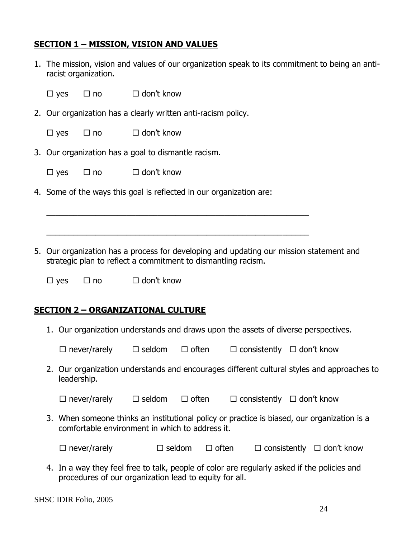## **SECTION 1 – MISSION, VISION AND VALUES**

- 1. The mission, vision and values of our organization speak to its commitment to being an antiracist organization.
	- $\Box$  yes  $\Box$  no  $\Box$  don't know
- 2. Our organization has a clearly written anti-racism policy.
	- $\Box$  yes  $\Box$  no  $\Box$  don't know
- 3. Our organization has a goal to dismantle racism.
	- $\Box$  yes  $\Box$  no  $\Box$  don't know
- 4. Some of the ways this goal is reflected in our organization are:

\_\_\_\_\_\_\_\_\_\_\_\_\_\_\_\_\_\_\_\_\_\_\_\_\_\_\_\_\_\_\_\_\_\_\_\_\_\_\_\_\_\_\_\_\_\_\_\_\_\_\_\_\_\_\_\_\_\_\_

\_\_\_\_\_\_\_\_\_\_\_\_\_\_\_\_\_\_\_\_\_\_\_\_\_\_\_\_\_\_\_\_\_\_\_\_\_\_\_\_\_\_\_\_\_\_\_\_\_\_\_\_\_\_\_\_\_\_\_

5. Our organization has a process for developing and updating our mission statement and strategic plan to reflect a commitment to dismantling racism.

 $\Box$  yes  $\Box$  no  $\Box$  don't know

### **SECTION 2 – ORGANIZATIONAL CULTURE**

1. Our organization understands and draws upon the assets of diverse perspectives.

 $\Box$  never/rarely  $\Box$  seldom  $\Box$  often  $\Box$  consistently  $\Box$  don't know

2. Our organization understands and encourages different cultural styles and approaches to leadership.

 $\Box$  never/rarely  $\Box$  seldom  $\Box$  often  $\Box$  consistently  $\Box$  don't know

3. When someone thinks an institutional policy or practice is biased, our organization is a comfortable environment in which to address it.

| $\Box$ never/rarely | $\Box$ seldom | $\Box$ often | $\Box$ consistently $\Box$ don't know |  |
|---------------------|---------------|--------------|---------------------------------------|--|
|---------------------|---------------|--------------|---------------------------------------|--|

4. In a way they feel free to talk, people of color are regularly asked if the policies and procedures of our organization lead to equity for all.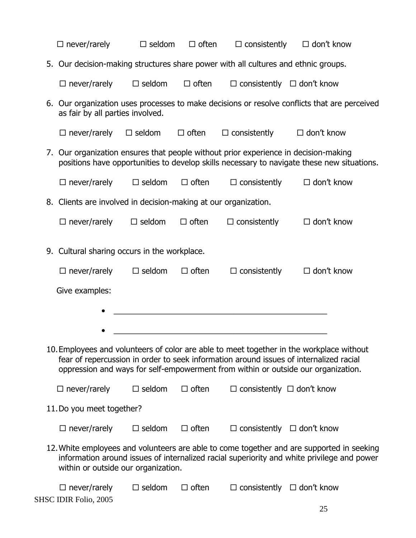| $\square$ never/rarely                                                                                                                                                                                                         | $\Box$ seldom                                  | $\Box$ often |                                                                                      | $\Box$ consistently $\Box$ don't know                                                                                                                                                                                                                                   |  |
|--------------------------------------------------------------------------------------------------------------------------------------------------------------------------------------------------------------------------------|------------------------------------------------|--------------|--------------------------------------------------------------------------------------|-------------------------------------------------------------------------------------------------------------------------------------------------------------------------------------------------------------------------------------------------------------------------|--|
|                                                                                                                                                                                                                                |                                                |              | 5. Our decision-making structures share power with all cultures and ethnic groups.   |                                                                                                                                                                                                                                                                         |  |
|                                                                                                                                                                                                                                |                                                |              | $\Box$ never/rarely $\Box$ seldom $\Box$ often $\Box$ consistently $\Box$ don't know |                                                                                                                                                                                                                                                                         |  |
| as fair by all parties involved.                                                                                                                                                                                               |                                                |              |                                                                                      | 6. Our organization uses processes to make decisions or resolve conflicts that are perceived                                                                                                                                                                            |  |
|                                                                                                                                                                                                                                | $\Box$ never/rarely $\Box$ seldom $\Box$ often |              | $\Box$ consistently                                                                  | $\Box$ don't know                                                                                                                                                                                                                                                       |  |
|                                                                                                                                                                                                                                |                                                |              | 7. Our organization ensures that people without prior experience in decision-making  | positions have opportunities to develop skills necessary to navigate these new situations.                                                                                                                                                                              |  |
| $\Box$ never/rarely                                                                                                                                                                                                            | $\square$ seldom                               | $\Box$ often | $\Box$ consistently                                                                  | $\Box$ don't know                                                                                                                                                                                                                                                       |  |
| 8. Clients are involved in decision-making at our organization.                                                                                                                                                                |                                                |              |                                                                                      |                                                                                                                                                                                                                                                                         |  |
| $\Box$ never/rarely $\Box$ seldom                                                                                                                                                                                              |                                                | $\Box$ often | $\Box$ consistently                                                                  | $\Box$ don't know                                                                                                                                                                                                                                                       |  |
| 9. Cultural sharing occurs in the workplace.                                                                                                                                                                                   |                                                |              |                                                                                      |                                                                                                                                                                                                                                                                         |  |
|                                                                                                                                                                                                                                | $\Box$ never/rarely $\Box$ seldom              | $\Box$ often | $\Box$ consistently                                                                  | $\Box$ don't know                                                                                                                                                                                                                                                       |  |
| Give examples:                                                                                                                                                                                                                 |                                                |              |                                                                                      |                                                                                                                                                                                                                                                                         |  |
|                                                                                                                                                                                                                                |                                                |              |                                                                                      |                                                                                                                                                                                                                                                                         |  |
|                                                                                                                                                                                                                                |                                                |              |                                                                                      |                                                                                                                                                                                                                                                                         |  |
|                                                                                                                                                                                                                                |                                                |              |                                                                                      | 10. Employees and volunteers of color are able to meet together in the workplace without<br>fear of repercussion in order to seek information around issues of internalized racial<br>oppression and ways for self-empowerment from within or outside our organization. |  |
| $\Box$ never/rarely                                                                                                                                                                                                            | $\Box$ seldom                                  | $\Box$ often | $\Box$ consistently $\Box$ don't know                                                |                                                                                                                                                                                                                                                                         |  |
| 11. Do you meet together?                                                                                                                                                                                                      |                                                |              |                                                                                      |                                                                                                                                                                                                                                                                         |  |
| $\Box$ never/rarely                                                                                                                                                                                                            | $\Box$ seldom                                  | $\Box$ often | $\Box$ consistently $\Box$ don't know                                                |                                                                                                                                                                                                                                                                         |  |
| 12. White employees and volunteers are able to come together and are supported in seeking<br>information around issues of internalized racial superiority and white privilege and power<br>within or outside our organization. |                                                |              |                                                                                      |                                                                                                                                                                                                                                                                         |  |
| $\Box$ never/rarely                                                                                                                                                                                                            | $\Box$ seldom                                  | $\Box$ often | $\Box$ consistently $\Box$ don't know                                                |                                                                                                                                                                                                                                                                         |  |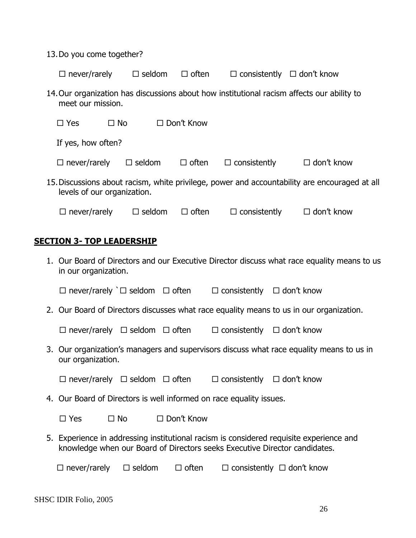13.Do you come together?

| meet our mission.                                                                                                            |           |               |                   | 14. Our organization has discussions about how institutional racism affects our ability to |                   |  |
|------------------------------------------------------------------------------------------------------------------------------|-----------|---------------|-------------------|--------------------------------------------------------------------------------------------|-------------------|--|
| $\Box$ Yes                                                                                                                   | $\Box$ No |               | $\Box$ Don't Know |                                                                                            |                   |  |
| If yes, how often?                                                                                                           |           |               |                   |                                                                                            |                   |  |
| $\Box$ never/rarely                                                                                                          |           | $\Box$ seldom | $\Box$ often      | $\Box$ consistently                                                                        | $\Box$ don't know |  |
| 15. Discussions about racism, white privilege, power and accountability are encouraged at all<br>levels of our organization. |           |               |                   |                                                                                            |                   |  |
| $\Box$ never/rarely                                                                                                          |           | $\Box$ seldom | $\Box$ often      | $\Box$ consistently                                                                        | $\Box$ don't know |  |
|                                                                                                                              |           |               |                   |                                                                                            |                   |  |

 $\Box$  never/rarely  $\Box$  seldom  $\Box$  often  $\Box$  consistently  $\Box$  don't know

#### **SECTION 3- TOP LEADERSHIP**

1. Our Board of Directors and our Executive Director discuss what race equality means to us in our organization.

| $\Box$ never/rarely $\Box$ seldom $\Box$ often<br>$\Box$ consistently $\Box$ don't know |
|-----------------------------------------------------------------------------------------|
|-----------------------------------------------------------------------------------------|

2. Our Board of Directors discusses what race equality means to us in our organization.

| $\Box$ never/rarely $\Box$ seldom $\Box$ often |  |  |  |  | $\Box$ consistently $\Box$ don't know |
|------------------------------------------------|--|--|--|--|---------------------------------------|
|------------------------------------------------|--|--|--|--|---------------------------------------|

3. Our organization's managers and supervisors discuss what race equality means to us in our organization.

| $\Box$ never/rarely $\Box$ seldom $\Box$ often | $\Box$ consistently $\Box$ don't know |  |
|------------------------------------------------|---------------------------------------|--|
|------------------------------------------------|---------------------------------------|--|

4. Our Board of Directors is well informed on race equality issues.

|  |  | $\Box$ Yes | $\Box$ No | $\Box$ Don't Know |
|--|--|------------|-----------|-------------------|
|--|--|------------|-----------|-------------------|

5. Experience in addressing institutional racism is considered requisite experience and knowledge when our Board of Directors seeks Executive Director candidates.

 $\Box$  never/rarely  $\Box$  seldom  $\Box$  often  $\Box$  consistently  $\Box$  don't know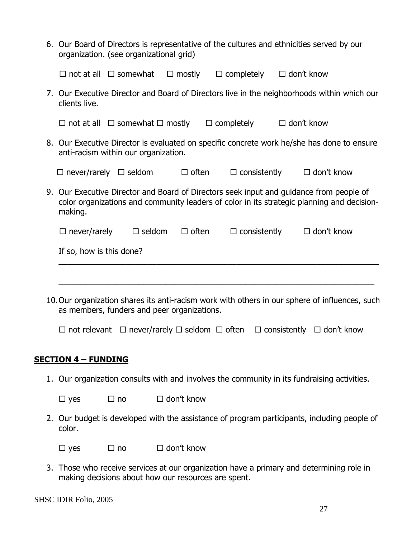| 6. Our Board of Directors is representative of the cultures and ethnicities served by our |
|-------------------------------------------------------------------------------------------|
| organization. (see organizational grid)                                                   |

| $\Box$ completely $\Box$ don't know<br>$\Box$ not at all $\Box$ somewhat $\Box$ mostly |
|----------------------------------------------------------------------------------------|
|----------------------------------------------------------------------------------------|

7. Our Executive Director and Board of Directors live in the neighborhoods within which our clients live.

 $\Box$  not at all  $\Box$  somewhat  $\Box$  mostly  $\Box$  completely  $\Box$  don't know

8. Our Executive Director is evaluated on specific concrete work he/she has done to ensure anti-racism within our organization.

| $\Box$ never/rarely $\Box$ seldom | $\Box$ often | $\Box$ consistently | $\Box$ don't know |
|-----------------------------------|--------------|---------------------|-------------------|
|-----------------------------------|--------------|---------------------|-------------------|

9. Our Executive Director and Board of Directors seek input and guidance from people of color organizations and community leaders of color in its strategic planning and decisionmaking.

| $\Box$ never/rarely      | $\Box$ seldom $\Box$ often |  | $\Box$ consistently | $\Box$ don't know |  |
|--------------------------|----------------------------|--|---------------------|-------------------|--|
| If so, how is this done? |                            |  |                     |                   |  |
|                          |                            |  |                     |                   |  |

10.Our organization shares its anti-racism work with others in our sphere of influences, such as members, funders and peer organizations.

\_\_\_\_\_\_\_\_\_\_\_\_\_\_\_\_\_\_\_\_\_\_\_\_\_\_\_\_\_\_\_\_\_\_\_\_\_\_\_\_\_\_\_\_\_\_\_\_\_\_\_\_\_\_\_\_\_\_\_\_\_\_\_\_\_\_\_\_\_\_\_

|  | $\Box$ not relevant $\Box$ never/rarely $\Box$ seldom $\Box$ often $\Box$ consistently $\Box$ don't know |  |  |  |
|--|----------------------------------------------------------------------------------------------------------|--|--|--|
|--|----------------------------------------------------------------------------------------------------------|--|--|--|

#### **SECTION 4 – FUNDING**

1. Our organization consults with and involves the community in its fundraising activities.

 $\square$  yes  $\square$  no  $\square$  don't know

2. Our budget is developed with the assistance of program participants, including people of color.

 $\square$  yes  $\square$  no  $\square$  don't know

3. Those who receive services at our organization have a primary and determining role in making decisions about how our resources are spent.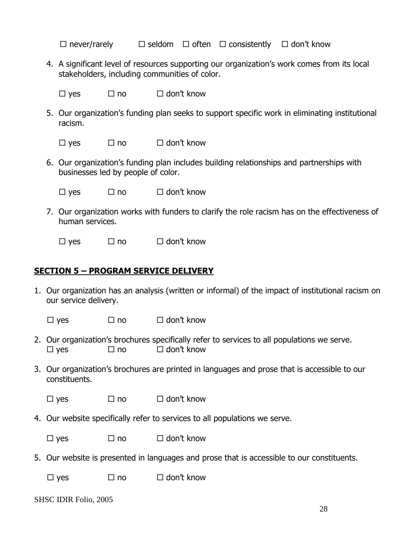$\Box$  never/rarely  $\Box$  seldom  $\Box$  often  $\Box$  consistently  $\Box$  don't know

4. A significant level of resources supporting our organization's work comes from its local stakeholders, including communities of color.

 $\square$  yes  $\square$  no  $\square$  don't know

- 5. Our organization's funding plan seeks to support specific work in eliminating institutional racism.
	- $\square$  yes  $\square$  no  $\square$  don't know
- 6. Our organization's funding plan includes building relationships and partnerships with businesses led by people of color.
	- $\square$  yes  $\square$  no  $\square$  don't know
- 7. Our organization works with funders to clarify the role racism has on the effectiveness of human services.
	- $\square$  yes  $\square$  no  $\square$  don't know

## **SECTION 5 – PROGRAM SERVICE DELIVERY**

1. Our organization has an analysis (written or informal) of the impact of institutional racism on our service delivery.

 $\square$  yes  $\square$  no  $\square$  don't know

- 2. Our organization's brochures specifically refer to services to all populations we serve.  $\square$  yes  $\square$  no  $\square$  don't know
- 3. Our organization's brochures are printed in languages and prose that is accessible to our constituents.

 $\Box$  yes  $\Box$  no  $\Box$  don't know

- 4. Our website specifically refer to services to all populations we serve.
	- $\square$  yes  $\square$  no  $\square$  don't know
- 5. Our website is presented in languages and prose that is accessible to our constituents.

 $\square$  yes  $\square$  no  $\square$  don't know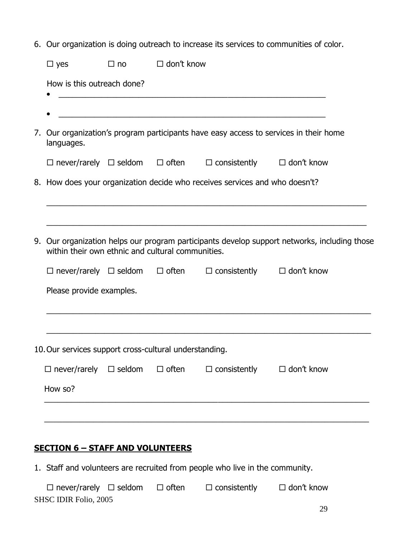6. Our organization is doing outreach to increase its services to communities of color.

| $\square$ yes                                          |               | $\Box$ no $\Box$ don't know |                                                                                              |                   |  |
|--------------------------------------------------------|---------------|-----------------------------|----------------------------------------------------------------------------------------------|-------------------|--|
| How is this outreach done?                             |               |                             |                                                                                              |                   |  |
|                                                        |               |                             |                                                                                              |                   |  |
| languages.                                             |               |                             | 7. Our organization's program participants have easy access to services in their home        |                   |  |
|                                                        |               |                             | $\Box$ never/rarely $\Box$ seldom $\Box$ often $\Box$ consistently $\Box$ don't know         |                   |  |
|                                                        |               |                             | 8. How does your organization decide who receives services and who doesn't?                  |                   |  |
| within their own ethnic and cultural communities.      |               |                             | 9. Our organization helps our program participants develop support networks, including those |                   |  |
|                                                        |               |                             | $\Box$ never/rarely $\Box$ seldom $\Box$ often $\Box$ consistently $\Box$ don't know         |                   |  |
| Please provide examples.                               |               |                             |                                                                                              |                   |  |
| 10. Our services support cross-cultural understanding. |               |                             |                                                                                              |                   |  |
| $\Box$ never/rarely                                    | $\Box$ seldom | $\Box$ often                | $\Box$ consistently                                                                          | $\Box$ don't know |  |
| How so?                                                |               |                             |                                                                                              |                   |  |
|                                                        |               |                             |                                                                                              |                   |  |
|                                                        |               |                             |                                                                                              |                   |  |

## **SECTION 6 – STAFF AND VOLUNTEERS**

1. Staff and volunteers are recruited from people who live in the community.

| $\Box$ never/rarely $\Box$ seldom $\Box$ often |  | $\Box$ consistently | $\Box$ don't know |
|------------------------------------------------|--|---------------------|-------------------|
| <b>SHSC IDIR Folio, 2005</b>                   |  |                     |                   |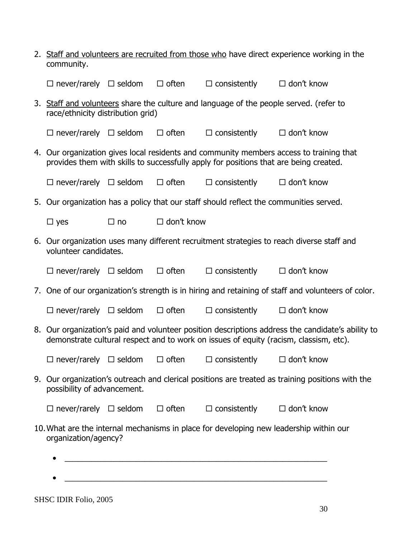| 2. Staff and volunteers are recruited from those who have direct experience working in the<br>community. |           |                   |                                                                                        |                                                                                                                                                                                            |  |  |
|----------------------------------------------------------------------------------------------------------|-----------|-------------------|----------------------------------------------------------------------------------------|--------------------------------------------------------------------------------------------------------------------------------------------------------------------------------------------|--|--|
| $\Box$ never/rarely $\Box$ seldom $\Box$ often                                                           |           |                   | $\Box$ consistently $\Box$ don't know                                                  |                                                                                                                                                                                            |  |  |
| race/ethnicity distribution grid)                                                                        |           |                   | 3. Staff and volunteers share the culture and language of the people served. (refer to |                                                                                                                                                                                            |  |  |
| $\Box$ never/rarely $\Box$ seldom $\Box$ often                                                           |           |                   | $\Box$ consistently $\Box$ don't know                                                  |                                                                                                                                                                                            |  |  |
|                                                                                                          |           |                   | provides them with skills to successfully apply for positions that are being created.  | 4. Our organization gives local residents and community members access to training that                                                                                                    |  |  |
| $\Box$ never/rarely $\Box$ seldom                                                                        |           | $\Box$ often      | $\Box$ consistently                                                                    | $\Box$ don't know                                                                                                                                                                          |  |  |
|                                                                                                          |           |                   | 5. Our organization has a policy that our staff should reflect the communities served. |                                                                                                                                                                                            |  |  |
| $\Box$ yes                                                                                               | $\Box$ no | $\Box$ don't know |                                                                                        |                                                                                                                                                                                            |  |  |
| volunteer candidates.                                                                                    |           |                   |                                                                                        | 6. Our organization uses many different recruitment strategies to reach diverse staff and                                                                                                  |  |  |
| $\Box$ never/rarely $\Box$ seldom $\Box$ often                                                           |           |                   | $\Box$ consistently $\Box$ don't know                                                  |                                                                                                                                                                                            |  |  |
|                                                                                                          |           |                   |                                                                                        | 7. One of our organization's strength is in hiring and retaining of staff and volunteers of color.                                                                                         |  |  |
| $\Box$ never/rarely $\Box$ seldom                                                                        |           | $\Box$ often      | $\Box$ consistently                                                                    | $\Box$ don't know                                                                                                                                                                          |  |  |
|                                                                                                          |           |                   |                                                                                        | 8. Our organization's paid and volunteer position descriptions address the candidate's ability to<br>demonstrate cultural respect and to work on issues of equity (racism, classism, etc). |  |  |
|                                                                                                          |           |                   | $\Box$ never/rarely $\Box$ seldom $\Box$ often $\Box$ consistently $\Box$ don't know   |                                                                                                                                                                                            |  |  |
| possibility of advancement.                                                                              |           |                   |                                                                                        | 9. Our organization's outreach and clerical positions are treated as training positions with the                                                                                           |  |  |
|                                                                                                          |           |                   | $\Box$ never/rarely $\Box$ seldom $\Box$ often $\Box$ consistently $\Box$ don't know   |                                                                                                                                                                                            |  |  |
| organization/agency?                                                                                     |           |                   |                                                                                        | 10. What are the internal mechanisms in place for developing new leadership within our                                                                                                     |  |  |
|                                                                                                          |           |                   |                                                                                        |                                                                                                                                                                                            |  |  |
|                                                                                                          |           |                   |                                                                                        |                                                                                                                                                                                            |  |  |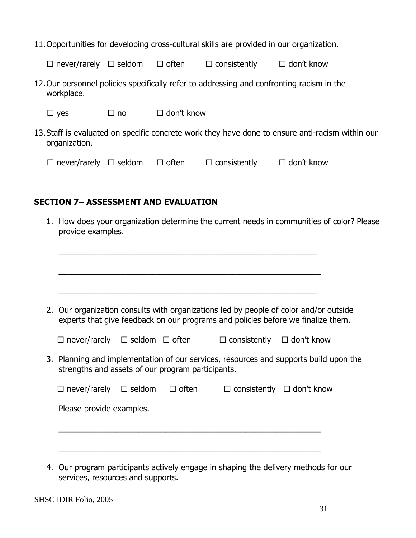11.Opportunities for developing cross-cultural skills are provided in our organization.

| $\Box$ never/rarely $\Box$ seldom | $\Box$ often | $\Box$ consistently | $\Box$ don't know |
|-----------------------------------|--------------|---------------------|-------------------|
|                                   |              |                     |                   |

12.Our personnel policies specifically refer to addressing and confronting racism in the workplace.

 $\square$  yes  $\square$  no  $\square$  don't know

13.Staff is evaluated on specific concrete work they have done to ensure anti-racism within our organization.

| $\Box$ never/rarely $\Box$ seldom | $\Box$ often | $\Box$ consistently | $\Box$ don't know |
|-----------------------------------|--------------|---------------------|-------------------|
|-----------------------------------|--------------|---------------------|-------------------|

## **SECTION 7– ASSESSMENT AND EVALUATION**

|                     |                          |                                                   |                                       | 2. Our organization consults with organizations led by people of color and/or outside<br>experts that give feedback on our programs and policies before we finalize them. |
|---------------------|--------------------------|---------------------------------------------------|---------------------------------------|---------------------------------------------------------------------------------------------------------------------------------------------------------------------------|
| $\Box$ never/rarely |                          | $\Box$ seldom $\Box$ often                        | $\Box$ consistently $\Box$ don't know |                                                                                                                                                                           |
|                     |                          | strengths and assets of our program participants. |                                       | 3. Planning and implementation of our services, resources and supports build upon the                                                                                     |
| $\Box$ never/rarely | $\square$ seldom         | $\Box$ often                                      |                                       | $\Box$ consistently $\Box$ don't know                                                                                                                                     |
|                     | Please provide examples. |                                                   |                                       |                                                                                                                                                                           |

4. Our program participants actively engage in shaping the delivery methods for our services, resources and supports.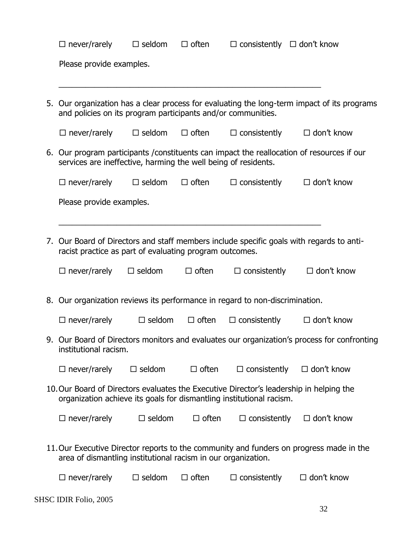| $\Box$ never/rarely                                                                                                                                             | $\Box$ seldom    | $\Box$ often | $\Box$ consistently $\Box$ don't know |                                                                                             |
|-----------------------------------------------------------------------------------------------------------------------------------------------------------------|------------------|--------------|---------------------------------------|---------------------------------------------------------------------------------------------|
| Please provide examples.                                                                                                                                        |                  |              |                                       |                                                                                             |
| and policies on its program participants and/or communities.                                                                                                    |                  |              |                                       | 5. Our organization has a clear process for evaluating the long-term impact of its programs |
| $\Box$ never/rarely                                                                                                                                             | $\Box$ seldom    | $\Box$ often | $\Box$ consistently                   | $\Box$ don't know                                                                           |
| services are ineffective, harming the well being of residents.                                                                                                  |                  |              |                                       | 6. Our program participants / constituents can impact the reallocation of resources if our  |
| $\Box$ never/rarely                                                                                                                                             | $\Box$ seldom    | $\Box$ often | $\Box$ consistently                   | $\Box$ don't know                                                                           |
| Please provide examples.                                                                                                                                        |                  |              |                                       |                                                                                             |
| racist practice as part of evaluating program outcomes.                                                                                                         |                  |              |                                       | 7. Our Board of Directors and staff members include specific goals with regards to anti-    |
| $\Box$ never/rarely                                                                                                                                             | $\Box$ seldom    | $\Box$ often | $\Box$ consistently                   | $\Box$ don't know                                                                           |
| 8. Our organization reviews its performance in regard to non-discrimination.                                                                                    |                  |              |                                       |                                                                                             |
| $\Box$ never/rarely                                                                                                                                             | $\Box$ seldom    | $\Box$ often | $\Box$ consistently                   | $\Box$ don't know                                                                           |
| institutional racism.                                                                                                                                           |                  |              |                                       | 9. Our Board of Directors monitors and evaluates our organization's process for confronting |
| $\Box$ never/rarely                                                                                                                                             | $\Box$ seldom    | $\Box$ often | $\Box$ consistently                   | $\Box$ don't know                                                                           |
| 10. Our Board of Directors evaluates the Executive Director's leadership in helping the<br>organization achieve its goals for dismantling institutional racism. |                  |              |                                       |                                                                                             |
| $\Box$ never/rarely                                                                                                                                             | $\square$ seldom | $\Box$ often | $\Box$ consistently                   | $\Box$ don't know                                                                           |
| area of dismantling institutional racism in our organization.                                                                                                   |                  |              |                                       | 11. Our Executive Director reports to the community and funders on progress made in the     |
| $\Box$ never/rarely                                                                                                                                             | $\Box$ seldom    | $\Box$ often | $\Box$ consistently                   | $\Box$ don't know                                                                           |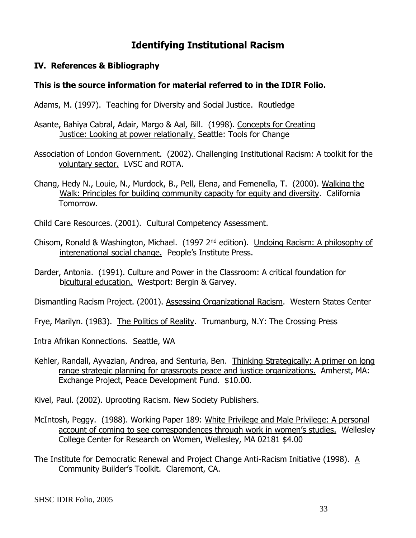## **Identifying Institutional Racism**

## **IV. References & Bibliography**

## **This is the source information for material referred to in the IDIR Folio.**

Adams, M. (1997). Teaching for Diversity and Social Justice. Routledge

- Asante, Bahiya Cabral, Adair, Margo & Aal, Bill. (1998). Concepts for Creating Justice: Looking at power relationally. Seattle: Tools for Change
- Association of London Government. (2002). Challenging Institutional Racism: A toolkit for the voluntary sector. LVSC and ROTA.
- Chang, Hedy N., Louie, N., Murdock, B., Pell, Elena, and Femenella, T. (2000). Walking the Walk: Principles for building community capacity for equity and diversity. California Tomorrow.

Child Care Resources. (2001). Cultural Competency Assessment.

- Chisom, Ronald & Washington, Michael. (1997 2nd edition). Undoing Racism: A philosophy of interenational social change. People's Institute Press.
- Darder, Antonia. (1991). Culture and Power in the Classroom: A critical foundation for bicultural education. Westport: Bergin & Garvey.

Dismantling Racism Project. (2001). Assessing Organizational Racism. Western States Center

Frye, Marilyn. (1983). The Politics of Reality. Trumanburg, N.Y: The Crossing Press

Intra Afrikan Konnections. Seattle, WA

Kehler, Randall, Ayvazian, Andrea, and Senturia, Ben. Thinking Strategically: A primer on long range strategic planning for grassroots peace and justice organizations. Amherst, MA: Exchange Project, Peace Development Fund. \$10.00.

Kivel, Paul. (2002). Uprooting Racism. New Society Publishers.

- McIntosh, Peggy. (1988). Working Paper 189: White Privilege and Male Privilege: A personal account of coming to see correspondences through work in women's studies. Wellesley College Center for Research on Women, Wellesley, MA 02181 \$4.00
- The Institute for Democratic Renewal and Project Change Anti-Racism Initiative (1998). A Community Builder's Toolkit. Claremont, CA.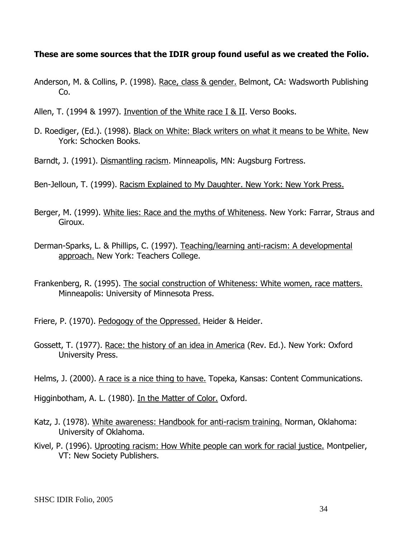#### **These are some sources that the IDIR group found useful as we created the Folio.**

- Anderson, M. & Collins, P. (1998). Race, class & gender. Belmont, CA: Wadsworth Publishing Co.
- Allen, T. (1994 & 1997). Invention of the White race I & II. Verso Books.
- D. Roediger, (Ed.). (1998). Black on White: Black writers on what it means to be White. New York: Schocken Books.
- Barndt, J. (1991). Dismantling racism. Minneapolis, MN: Augsburg Fortress.

Ben-Jelloun, T. (1999). Racism Explained to My Daughter. New York: New York Press.

- Berger, M. (1999). White lies: Race and the myths of Whiteness. New York: Farrar, Straus and Giroux.
- Derman-Sparks, L. & Phillips, C. (1997). Teaching/learning anti-racism: A developmental approach. New York: Teachers College.
- Frankenberg, R. (1995). The social construction of Whiteness: White women, race matters. Minneapolis: University of Minnesota Press.

Friere, P. (1970). Pedogogy of the Oppressed. Heider & Heider.

Gossett, T. (1977). Race: the history of an idea in America (Rev. Ed.). New York: Oxford University Press.

Helms, J. (2000). A race is a nice thing to have. Topeka, Kansas: Content Communications.

Higginbotham, A. L. (1980). In the Matter of Color. Oxford.

- Katz, J. (1978). White awareness: Handbook for anti-racism training. Norman, Oklahoma: University of Oklahoma.
- Kivel, P. (1996). Uprooting racism: How White people can work for racial justice. Montpelier, VT: New Society Publishers.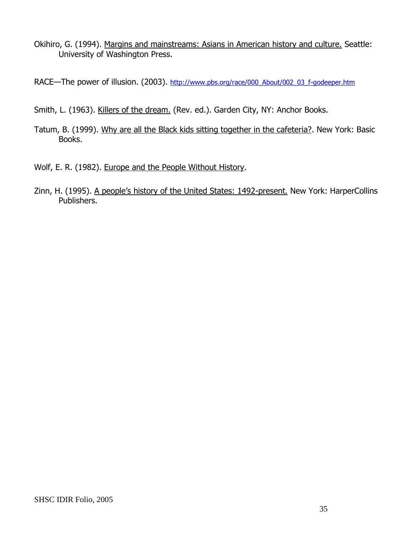- Okihiro, G. (1994). Margins and mainstreams: Asians in American history and culture. Seattle: University of Washington Press.
- RACE—The power of illusion. (2003). [http://www.pbs.org/race/000\\_About/002\\_03\\_f-godeeper.htm](http://www.pbs.org/race/000_About/002_03_f-godeeper.htm)

Smith, L. (1963). Killers of the dream. (Rev. ed.). Garden City, NY: Anchor Books.

- Tatum, B. (1999). Why are all the Black kids sitting together in the cafeteria?. New York: Basic Books.
- Wolf, E. R. (1982). Europe and the People Without History.
- Zinn, H. (1995). A people's history of the United States: 1492-present. New York: HarperCollins Publishers.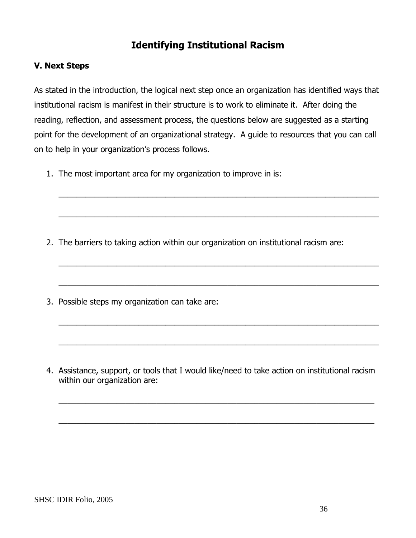## **Identifying Institutional Racism**

### **V. Next Steps**

As stated in the introduction, the logical next step once an organization has identified ways that institutional racism is manifest in their structure is to work to eliminate it. After doing the reading, reflection, and assessment process, the questions below are suggested as a starting point for the development of an organizational strategy. A guide to resources that you can call on to help in your organization's process follows.

\_\_\_\_\_\_\_\_\_\_\_\_\_\_\_\_\_\_\_\_\_\_\_\_\_\_\_\_\_\_\_\_\_\_\_\_\_\_\_\_\_\_\_\_\_\_\_\_\_\_\_\_\_\_\_\_\_\_\_\_\_\_\_\_\_\_\_\_\_\_\_\_

\_\_\_\_\_\_\_\_\_\_\_\_\_\_\_\_\_\_\_\_\_\_\_\_\_\_\_\_\_\_\_\_\_\_\_\_\_\_\_\_\_\_\_\_\_\_\_\_\_\_\_\_\_\_\_\_\_\_\_\_\_\_\_\_\_\_\_\_\_\_\_\_

\_\_\_\_\_\_\_\_\_\_\_\_\_\_\_\_\_\_\_\_\_\_\_\_\_\_\_\_\_\_\_\_\_\_\_\_\_\_\_\_\_\_\_\_\_\_\_\_\_\_\_\_\_\_\_\_\_\_\_\_\_\_\_\_\_\_\_\_\_\_\_\_

\_\_\_\_\_\_\_\_\_\_\_\_\_\_\_\_\_\_\_\_\_\_\_\_\_\_\_\_\_\_\_\_\_\_\_\_\_\_\_\_\_\_\_\_\_\_\_\_\_\_\_\_\_\_\_\_\_\_\_\_\_\_\_\_\_\_\_\_\_\_\_\_

\_\_\_\_\_\_\_\_\_\_\_\_\_\_\_\_\_\_\_\_\_\_\_\_\_\_\_\_\_\_\_\_\_\_\_\_\_\_\_\_\_\_\_\_\_\_\_\_\_\_\_\_\_\_\_\_\_\_\_\_\_\_\_\_\_\_\_\_\_\_\_\_

\_\_\_\_\_\_\_\_\_\_\_\_\_\_\_\_\_\_\_\_\_\_\_\_\_\_\_\_\_\_\_\_\_\_\_\_\_\_\_\_\_\_\_\_\_\_\_\_\_\_\_\_\_\_\_\_\_\_\_\_\_\_\_\_\_\_\_\_\_\_\_\_

1. The most important area for my organization to improve in is:

- 2. The barriers to taking action within our organization on institutional racism are:
- 3. Possible steps my organization can take are:

4. Assistance, support, or tools that I would like/need to take action on institutional racism within our organization are:

\_\_\_\_\_\_\_\_\_\_\_\_\_\_\_\_\_\_\_\_\_\_\_\_\_\_\_\_\_\_\_\_\_\_\_\_\_\_\_\_\_\_\_\_\_\_\_\_\_\_\_\_\_\_\_\_\_\_\_\_\_\_\_\_\_\_\_\_\_\_\_

\_\_\_\_\_\_\_\_\_\_\_\_\_\_\_\_\_\_\_\_\_\_\_\_\_\_\_\_\_\_\_\_\_\_\_\_\_\_\_\_\_\_\_\_\_\_\_\_\_\_\_\_\_\_\_\_\_\_\_\_\_\_\_\_\_\_\_\_\_\_\_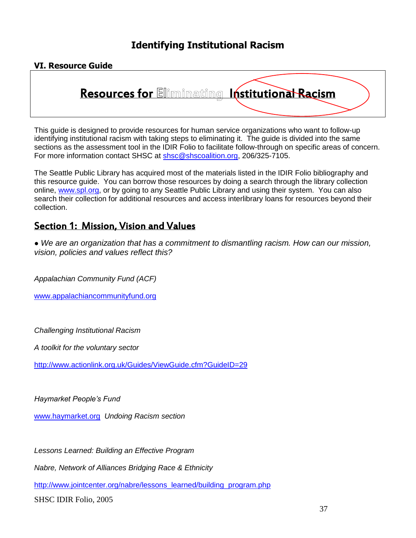## **Identifying Institutional Racism**

### **VI. Resource Guide**

Resources for Eliminating Institutional Racism

This guide is designed to provide resources for human service organizations who want to follow-up identifying institutional racism with taking steps to eliminating it. The guide is divided into the same sections as the assessment tool in the IDIR Folio to facilitate follow-through on specific areas of concern. For more information contact SHSC at [shsc@shscoalition.org,](mailto:shsc@shscoalition.org) 206/325-7105.

The Seattle Public Library has acquired most of the materials listed in the IDIR Folio bibliography and this resource guide. You can borrow those resources by doing a search through the library collection online, [www.spl.org,](http://www.spl.org/) or by going to any Seattle Public Library and using their system. You can also search their collection for additional resources and access interlibrary loans for resources beyond their collection.

## Section 1: Mission, Vision and Values

**●** *We are an organization that has a commitment to dismantling racism. How can our mission, vision, policies and values reflect this?*

*Appalachian Community Fund (ACF)* 

[www.appalachiancommunityfund.org](http://www.appalachiancommunityfund.org/)

*Challenging Institutional Racism*

*A toolkit for the voluntary sector*

<http://www.actionlink.org.uk/Guides/ViewGuide.cfm?GuideID=29>

*Haymarket People's Fund*

[www.haymarket.org](http://www.haymarket.org/) *Undoing Racism section*

*Lessons Learned: Building an Effective Program*

*Nabre, Network of Alliances Bridging Race & Ethnicity*

http://www.jointcenter.org/nabre/lessons\_learned/building\_program.php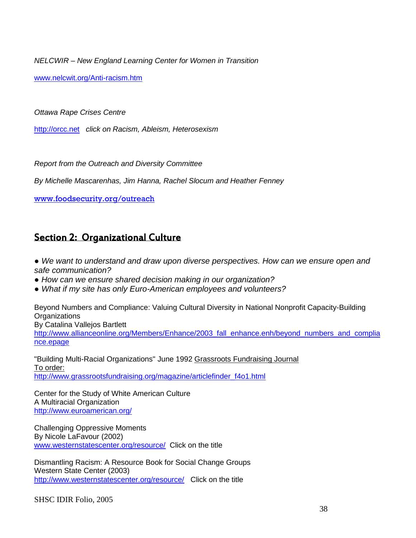*NELCWIR – New England Learning Center for Women in Transition*

[www.nelcwit.org/Anti-racism.htm](http://www.nelcwit.org/Anti-racism.htm)

*Ottawa Rape Crises Centre*

[http://orcc.net](http://orcc.net/) *click on Racism, Ableism, Heterosexism* 

*Report from the Outreach and Diversity Committee*

*By Michelle Mascarenhas, Jim Hanna, Rachel Slocum and Heather Fenney*

[www.foodsecurity.org/outreach](http://www.foodsecurity.org/outreach)

## Section 2: Organizational Culture

*● We want to understand and draw upon diverse perspectives. How can we ensure open and safe communication?*

- *How can we ensure shared decision making in our organization?*
- *What if my site has only Euro-American employees and volunteers?*

Beyond Numbers and Compliance: Valuing Cultural Diversity in National Nonprofit Capacity-Building **Organizations** 

By Catalina Vallejos Bartlett

http://www.allianceonline.org/Members/Enhance/2003 fall\_enhance.enh/beyond\_numbers\_and\_complia [nce.epage](http://www.allianceonline.org/Members/Enhance/2003_fall_enhance.enh/beyond_numbers_and_compliance.epage) 

"Building Multi-Racial Organizations" June 1992 Grassroots Fundraising Journal To order: [http://www.grassrootsfundraising.org/magazine/articlefinder\\_f4o1.html](http://www.grassrootsfundraising.org/magazine/articlefinder_f4o1.html)

Center for the Study of White American Culture A Multiracial Organization <http://www.euroamerican.org/>

Challenging Oppressive Moments By Nicole LaFavour (2002) [www.westernstatescenter.org/resource/](http://www.westernstatescenter.org/resource/) Click on the title

Dismantling Racism: A Resource Book for Social Change Groups Western State Center (2003) <http://www.westernstatescenter.org/resource/>Click on the title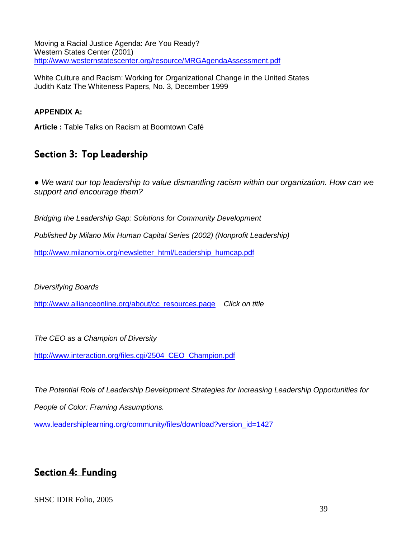Moving a Racial Justice Agenda: Are You Ready? Western States Center (2001) <http://www.westernstatescenter.org/resource/MRGAgendaAssessment.pdf>

White Culture and Racism: Working for Organizational Change in the United States Judith Katz The Whiteness Papers, No. 3, December 1999

#### **APPENDIX A:**

**Article :** Table Talks on Racism at Boomtown Café

## Section 3: Top Leadership

● We want our top leadership to value dismantling racism within our organization. How can we *support and encourage them?*

*Bridging the Leadership Gap: Solutions for Community Development*

*Published by Milano Mix Human Capital Series (2002) (Nonprofit Leadership)*

[http://www.milanomix.org/newsletter\\_html/Leadership\\_humcap.pdf](http://www.milanomix.org/newsletter_html/Leadership_humcap.pdf)

*Diversifying Boards*

[http://www.allianceonline.org/about/cc\\_resources.page](http://www.allianceonline.org/about/cc_resources.page) *Click on title* 

*The CEO as a Champion of Diversity*

[http://www.interaction.org/files.cgi/2504\\_CEO\\_Champion.pdf](http://www.interaction.org/files.cgi/2504_CEO_Champion.pdf)

*The Potential Role of Leadership Development Strategies for Increasing Leadership Opportunities for* 

*People of Color: Framing Assumptions.*

[www.leadershiplearning.org/community/files/download?version\\_id=1427](http://www.leadershiplearning.org/community/files/download?version_id=1427)

## Section 4: Funding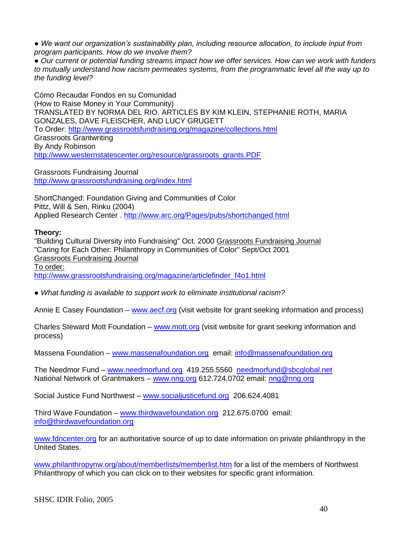- *We want our organization's sustainability plan, including resource allocation, to include input from program participants. How do we involve them?*
- *Our current or potential funding streams impact how we offer services. How can we work with funders to mutually understand how racism permeates systems, from the programmatic level all the way up to the funding level?*

Cómo Recaudar Fondos en su Comunidad (How to Raise Money in Your Community) TRANSLATED BY NORMA DEL RIO. ARTICLES BY KIM KLEIN, STEPHANIE ROTH, MARIA GONZALES, DAVE FLEISCHER, AND LUCY GRUGETT To Order:<http://www.grassrootsfundraising.org/magazine/collections.html> Grassroots Grantwriting By Andy Robinson [http://www.westernstatescenter.org/resource/grassroots\\_grants.PDF](http://www.westernstatescenter.org/resource/grassroots_grants.PDF)

Grassroots Fundraising Journal <http://www.grassrootsfundraising.org/index.html>

ShortChanged: Foundation Giving and Communities of Color Pittz, Will & Sen, Rinku (2004) Applied Research Center .<http://www.arc.org/Pages/pubs/shortchanged.html>

#### **Theory:**

"Building Cultural Diversity into Fundraising" Oct. 2000 Grassroots Fundraising Journal "Caring for Each Other: Philanthropy in Communities of Color" Sept/Oct 2001 Grassroots Fundraising Journal To order: [http://www.grassrootsfundraising.org/magazine/articlefinder\\_f4o1.html](http://www.grassrootsfundraising.org/magazine/articlefinder_f4o1.html)

● *What funding is available to support work to eliminate institutional racism?*

Annie E Casey Foundation – [www.aecf.org](http://www.aecf.org/) (visit website for grant seeking information and process)

Charles Steward Mott Foundation – [www.mott.org](http://www.mott.org/) (visit website for grant seeking information and process)

Massena Foundation – [www.massenafoundation.org](http://www.massenafoundation.org/) email: [info@massenafoundation.org](mailto:info@massenafoundation.org)

The Needmor Fund – [www.needmorfund.org](http://www.needmorfund.org/) 419.255.5560 [needmorfund@sbcglobal.net](mailto:needmorfund@sbcglobal.net) National Network of Grantmakers – [www.nng.org](http://www.nng.org/) 612.724.0702 email: [nng@nng.org](mailto:nng@nng.org)

Social Justice Fund Northwest – [www.socialjusticefund.org](http://www.socialjusticefund.org/) 206.624.4081

Third Wave Foundation – [www.thirdwavefoundation.org](http://www.thirdwavefoundation.org/) 212.675.0700 email: [info@thirdwavefoundation.org](mailto:info@thirdwavefoundation.org)

[www.fdncenter.org](http://www.fdncenter.org/) for an authoritative source of up to date information on private philanthropy in the United States.

[www.philanthropynw.org/about/memberlists/memberlist.htm](http://www.philanthropynw.org/about/memberlists/memberlist.htm) for a list of the members of Northwest Philanthropy of which you can click on to their websites for specific grant information.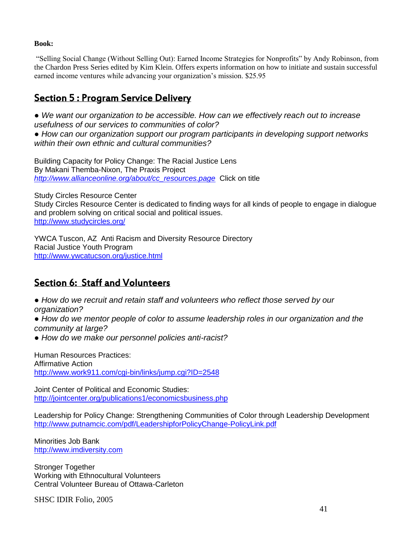#### **Book:**

"Selling Social Change (Without Selling Out): Earned Income Strategies for Nonprofits" by Andy Robinson, from the Chardon Press Series edited by Kim Klein. Offers experts information on how to initiate and sustain successful earned income ventures while advancing your organization's mission. \$25.95

## Section 5 : Program Service Delivery

*● We want our organization to be accessible. How can we effectively reach out to increase usefulness of our services to communities of color?*

*● How can our organization support our program participants in developing support networks within their own ethnic and cultural communities?*

Building Capacity for Policy Change: The Racial Justice Lens By Makani Themba-Nixon, The Praxis Project *[http://www.allianceonline.org/about/cc\\_resources.page](http://www.allianceonline.org/about/cc_resources.page)* Click on title

Study Circles Resource Center Study Circles Resource Center is dedicated to finding ways for all kinds of people to engage in dialogue and problem solving on critical social and political issues. <http://www.studycircles.org/>

YWCA Tuscon, AZ Anti Racism and Diversity Resource Directory Racial Justice Youth Program <http://www.ywcatucson.org/justice.html>

## Section 6: Staff and Volunteers

- How do we recruit and retain staff and volunteers who reflect those served by our *organization?*
- How do we mentor people of color to assume leadership roles in our organization and the *community at large?*
- *How do we make our personnel policies anti-racist?*

Human Resources Practices: Affirmative Action <http://www.work911.com/cgi-bin/links/jump.cgi?ID=2548>

Joint Center of Political and Economic Studies: <http://jointcenter.org/publications1/economicsbusiness.php>

Leadership for Policy Change: Strengthening Communities of Color through Leadership Development <http://www.putnamcic.com/pdf/LeadershipforPolicyChange-PolicyLink.pdf>

Minorities Job Bank [http://www.imdiversity.com](http://www.imdiversity.com/) 

Stronger Together Working with Ethnocultural Volunteers Central Volunteer Bureau of Ottawa-Carleton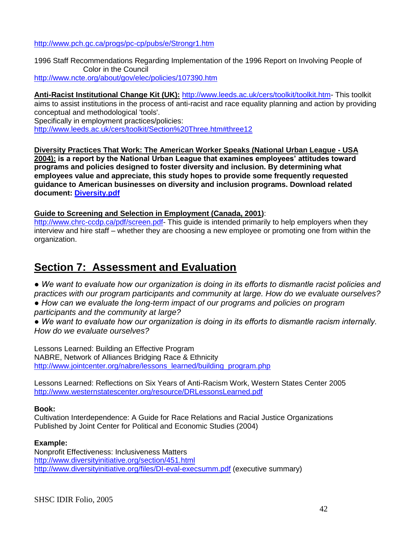<http://www.pch.gc.ca/progs/pc-cp/pubs/e/Strongr1.htm>

1996 Staff Recommendations Regarding Implementation of the 1996 Report on Involving People of Color in the Council <http://www.ncte.org/about/gov/elec/policies/107390.htm>

**Anti-Racist Institutional Change Kit (UK):** [http://www.leeds.ac.uk/cers/toolkit/toolkit.htm-](http://www.leeds.ac.uk/cers/toolkit/toolkit.htm) This toolkit aims to assist institutions in the process of anti-racist and race equality planning and action by providing conceptual and methodological 'tools'. Specifically in employment practices/policies:

<http://www.leeds.ac.uk/cers/toolkit/Section%20Three.htm#three12>

**Diversity Practices That Work: The American Worker Speaks (National Urban League - USA 2004): is a report by the National Urban League that examines employees' attitudes toward programs and policies designed to foster diversity and inclusion. By determining what employees value and appreciate, this study hopes to provide some frequently requested guidance to American businesses on diversity and inclusion programs. Download related document: [Diversity.pdf](http://action.web.ca/home/narcc/attach/Diversity.pdf)**

**Guide to Screening and Selection in Employment (Canada, 2001)**:

[http://www.chrc-ccdp.ca/pdf/screen.pdf-](http://www.chrc-ccdp.ca/pdf/screen.pdf) This guide is intended primarily to help employers when they interview and hire staff – whether they are choosing a new employee or promoting one from within the organization.

## **Section 7: Assessment and Evaluation**

*● We want to evaluate how our organization is doing in its efforts to dismantle racist policies and practices with our program participants and community at large. How do we evaluate ourselves? ● How can we evaluate the long-term impact of our programs and policies on program participants and the community at large?*

*● We want to evaluate how our organization is doing in its efforts to dismantle racism internally. How do we evaluate ourselves?*

Lessons Learned: Building an Effective Program NABRE, Network of Alliances Bridging Race & Ethnicity http://www.jointcenter.org/nabre/lessons\_learned/building\_program.php

Lessons Learned: Reflections on Six Years of Anti-Racism Work, Western States Center 2005 <http://www.westernstatescenter.org/resource/DRLessonsLearned.pdf>

#### **Book:**

Cultivation Interdependence: A Guide for Race Relations and Racial Justice Organizations Published by Joint Center for Political and Economic Studies (2004)

#### **Example:**

Nonprofit Effectiveness: Inclusiveness Matters <http://www.diversityinitiative.org/section/451.html> <http://www.diversityinitiative.org/files/DI-eval-execsumm.pdf> (executive summary)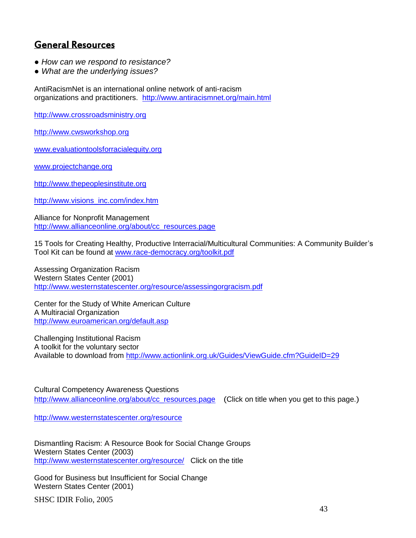## General Resources

- *How can we respond to resistance?*
- *What are the underlying issues?*

AntiRacismNet is an international online network of anti-racism organizations and practitioners. <http://www.antiracismnet.org/main.html>

[http://www.crossroadsministry.org](http://www.crossroadsministry.org/)

[http://www.cwsworkshop.org](http://www.cwsworkshop.org/)

[www.evaluationtoolsforracialequity.org](http://www.evaluationtoolsforracialequity.org/) 

[www.projectchange.org](http://www.projectchange.org/)

[http://www.thepeoplesinstitute.org](http://www.thepeoplesinstitute.org/)

[http://www.visions\\_inc.com/index.htm](http://www.visions_inc.com/index.htm)

Alliance for Nonprofit Management [http://www.allianceonline.org/about/cc\\_resources.page](http://www.allianceonline.org/about/cc_resources.page)

15 Tools for Creating Healthy, Productive Interracial/Multicultural Communities: A Community Builder's Tool Kit can be found at [www.race-democracy.org/toolkit.pdf](http://www.race-democracy.org/toolkit.pdf)

Assessing Organization Racism Western States Center (2001) <http://www.westernstatescenter.org/resource/assessingorgracism.pdf>

Center for the Study of White American Culture A Multiracial Organization <http://www.euroamerican.org/default.asp>

Challenging Institutional Racism A toolkit for the voluntary sector Available to download from http://www.actionlink.org.uk/Guides/ViewGuide.cfm?GuideID=29

Cultural Competency Awareness Questions [http://www.allianceonline.org/about/cc\\_resources.page](http://www.allianceonline.org/about/cc_resources.page) (Click on title when you get to this page.)

<http://www.westernstatescenter.org/resource>

Dismantling Racism: A Resource Book for Social Change Groups Western States Center (2003) <http://www.westernstatescenter.org/resource/>Click on the title

Good for Business but Insufficient for Social Change Western States Center (2001)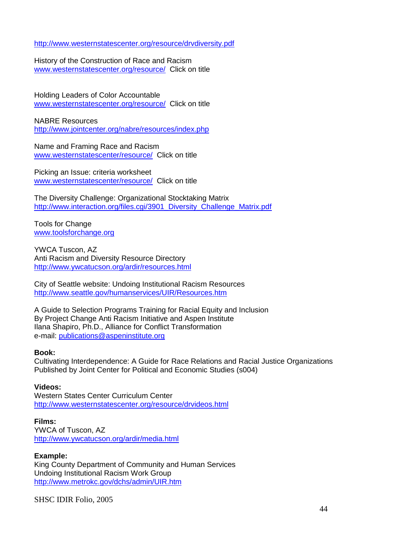<http://www.westernstatescenter.org/resource/drvdiversity.pdf>

History of the Construction of Race and Racism [www.westernstatescenter.org/resource/](http://www.westernstatescenter.org/resource/) Click on title

Holding Leaders of Color Accountable [www.westernstatescenter.org/resource/](http://www.westernstatescenter.org/resource/) Click on title

#### NABRE Resources

<http://www.jointcenter.org/nabre/resources/index.php>

Name and Framing Race and Racism [www.westernstatescenter/resource/](http://www.westernstatescenter/resource/) Click on title

Picking an Issue: criteria worksheet [www.westernstatescenter/resource/](http://www.westernstatescenter/resource/) Click on title

The Diversity Challenge: Organizational Stocktaking Matrix [http://www.interaction.org/files.cgi/3901\\_Diversity\\_Challenge\\_Matrix.pdf](http://www.interaction.org/files.cgi/3901_Diversity_Challenge_Matrix.pdf)

Tools for Change [www.toolsforchange.org](http://www.toolsforchange.org/)

YWCA Tuscon, AZ Anti Racism and Diversity Resource Directory <http://www.ywcatucson.org/ardir/resources.html>

City of Seattle website: Undoing Institutional Racism Resources <http://www.seattle.gov/humanservices/UIR/Resources.htm>

A Guide to Selection Programs Training for Racial Equity and Inclusion By Project Change Anti Racism Initiative and Aspen Institute Ilana Shapiro, Ph.D., Alliance for Conflict Transformation e-mail: [publications@aspeninstitute.org](mailto:publications@aspeninstitute.org)

#### **Book:**

Cultivating Interdependence: A Guide for Race Relations and Racial Justice Organizations Published by Joint Center for Political and Economic Studies (s004)

#### **Videos:**

Western States Center Curriculum Center <http://www.westernstatescenter.org/resource/drvideos.html>

**Films:** YWCA of Tuscon, AZ <http://www.ywcatucson.org/ardir/media.html>

#### **Example:**

King County Department of Community and Human Services Undoing Institutional Racism Work Group <http://www.metrokc.gov/dchs/admin/UIR.htm>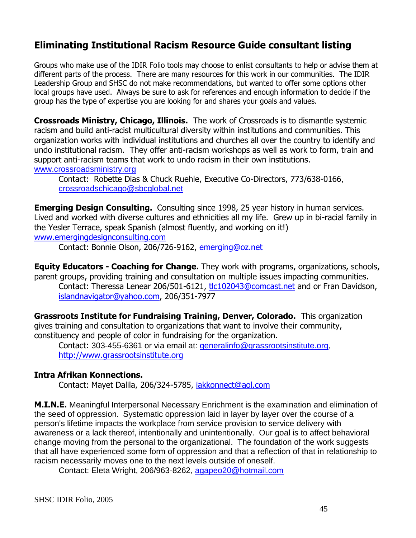## **Eliminating Institutional Racism Resource Guide consultant listing**

Groups who make use of the IDIR Folio tools may choose to enlist consultants to help or advise them at different parts of the process. There are many resources for this work in our communities. The IDIR Leadership Group and SHSC do not make recommendations, but wanted to offer some options other local groups have used. Always be sure to ask for references and enough information to decide if the group has the type of expertise you are looking for and shares your goals and values.

**Crossroads Ministry, Chicago, Illinois.** The work of Crossroads is to dismantle systemic racism and build anti-racist multicultural diversity within institutions and communities. This organization works with individual institutions and churches all over the country to identify and undo institutional racism. They offer anti-racism workshops as well as work to form, train and support anti-racism teams that work to undo racism in their own institutions. [www.crossroadsministry.org](http://www.crossroadsministry.org/)

Contact: Robette Dias & Chuck Ruehle, Executive Co-Directors, 773/638-0166, [crossroadschicago@sbcglobal.net](mailto:crossroadschicago@sbcglobal.net)

**Emerging Design Consulting.** Consulting since 1998, 25 year history in human services. Lived and worked with diverse cultures and ethnicities all my life. Grew up in bi-racial family in the Yesler Terrace, speak Spanish (almost fluently, and working on it!) [www.emergingdesignconsulting.com](http://www.emergingdesignconsulting.com/)

Contact: Bonnie Olson, 206/726-9162, [emerging@oz.net](mailto:emerging@oz.net)

**Equity Educators - Coaching for Change.** They work with programs, organizations, schools, parent groups, providing training and consultation on multiple issues impacting communities. Contact: Theressa Lenear 206/501-6121, [tlc102043@comcast.net](mailto:tlc102043@comcast.net) and or Fran Davidson, [islandnavigator@yahoo.com,](mailto:islandnavigator@yahoo.com) 206/351-7977

**Grassroots Institute for Fundraising Training, Denver, Colorado.** This organization gives training and consultation to organizations that want to involve their community, constituency and people of color in fundraising for the organization.

Contact: 303-455-6361 or via email at: [generalinfo@grassrootsinstitute.org,](mailto:generalinfo@grassrootsinstitute.org) [http://www.grassrootsinstitute.org](http://www.grassrootsinstitute.org/)

### **Intra Afrikan Konnections.**

Contact: Mayet Dalila, 206/324-5785, [iakkonnect@aol.com](mailto:iakkonnect@aol.com)

**M.I.N.E.** Meaningful Interpersonal Necessary Enrichment is the examination and elimination of the seed of oppression. Systematic oppression laid in layer by layer over the course of a person's lifetime impacts the workplace from service provision to service delivery with awareness or a lack thereof, intentionally and unintentionally. Our goal is to affect behavioral change moving from the personal to the organizational. The foundation of the work suggests that all have experienced some form of oppression and that a reflection of that in relationship to racism necessarily moves one to the next levels outside of oneself.

Contact: Eleta Wright, 206/963-8262, [agapeo20@hotmail.com](mailto:agapeo20@hotmail.com)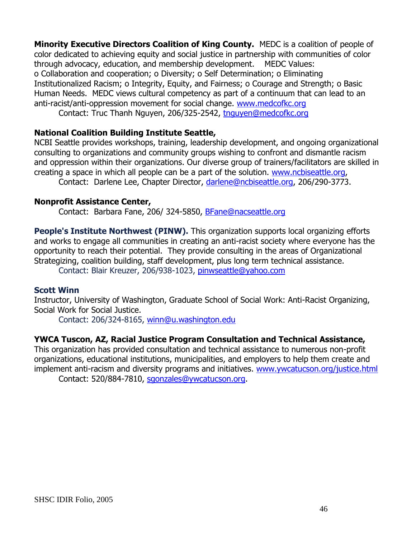**Minority Executive Directors Coalition of King County.** MEDC is a coalition of people of color dedicated to achieving equity and social justice in partnership with communities of color through advocacy, education, and membership development. MEDC Values: o Collaboration and cooperation; o Diversity; o Self Determination; o Eliminating Institutionalized Racism; o Integrity, Equity, and Fairness; o Courage and Strength; o Basic Human Needs. MEDC views cultural competency as part of a continuum that can lead to an anti-racist/anti-oppression movement for social change. [www.medcofkc.org](http://www.medcofkc.org/) 

Contact: Truc Thanh Nguyen, 206/325-2542, [tnguyen@medcofkc.org](mailto:tnguyen@medcofkc.org) 

## **National Coalition Building Institute Seattle,**

NCBI Seattle provides workshops, training, leadership development, and ongoing organizational consulting to organizations and community groups wishing to confront and dismantle racism and oppression within their organizations. Our diverse group of trainers/facilitators are skilled in creating a space in which all people can be a part of the solution. [www.ncbiseattle.org,](http://www.ncbiseattle.org/)

Contact: Darlene Lee, Chapter Director, [darlene@ncbiseattle.org,](mailto:darlene@ncbiseattle.org) 206/290-3773.

#### **Nonprofit Assistance Center,**

Contact: Barbara Fane, 206/ 324-5850, [BFane@nacseattle.org](mailto:BFane@nacseattle.org)

**People's Institute Northwest (PINW).** This organization supports local organizing efforts and works to engage all communities in creating an anti-racist society where everyone has the opportunity to reach their potential. They provide consulting in the areas of Organizational Strategizing, coalition building, staff development, plus long term technical assistance. Contact: Blair Kreuzer, 206/938-1023, [pinwseattle@yahoo.com](mailto:pinwseattle@yahoo.com)

#### **Scott Winn**

Instructor, University of Washington, Graduate School of Social Work: Anti-Racist Organizing, Social Work for Social Justice.

Contact: 206/324-8165, [winn@u.washington.edu](mailto:winn@u.washington.edu)

## **YWCA Tuscon, AZ, Racial Justice Program Consultation and Technical Assistance,**

This organization has provided consultation and technical assistance to numerous non-profit organizations, educational institutions, municipalities, and employers to help them create and implement anti-racism and diversity programs and initiatives. [www.ywcatucson.org/justice.html](http://www.ywcatucson.org/justice.html) Contact: 520/884-7810, [sgonzales@ywcatucson.org.](mailto:sgonzales@ywcatucson.org)